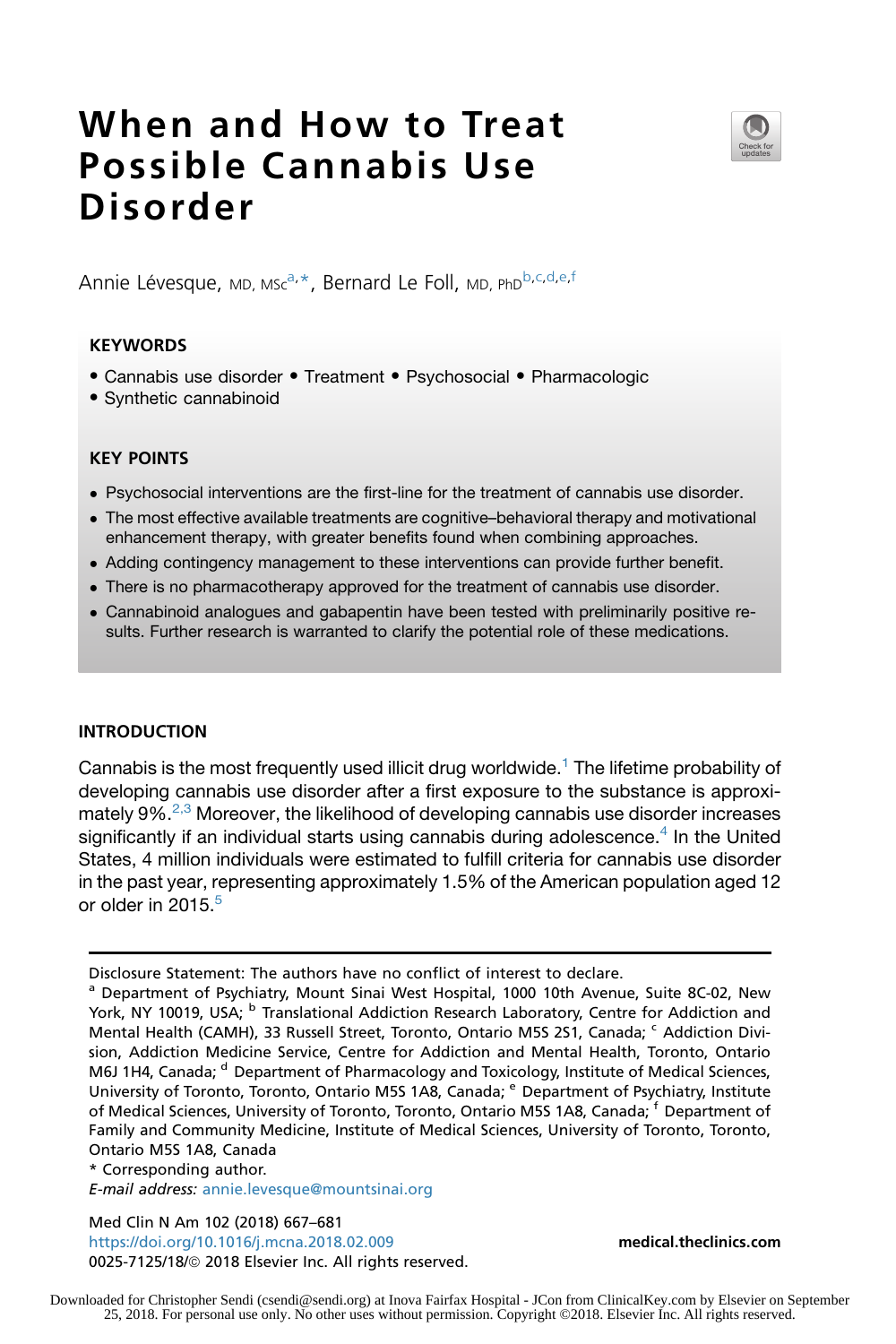# When and How to Treat Possible Cannabis Use Disorder



Annie Lévesque, MD, Msc<sup>a,\*</sup>, Bernard Le Foll, MD, PhD<sup>b,c,d,e,f</sup>

## **KEYWORDS**

- Cannabis use disorder Treatment Psychosocial Pharmacologic
- Synthetic cannabinoid

## KEY POINTS

- Psychosocial interventions are the first-line for the treatment of cannabis use disorder.
- The most effective available treatments are cognitive–behavioral therapy and motivational enhancement therapy, with greater benefits found when combining approaches.
- Adding contingency management to these interventions can provide further benefit.
- There is no pharmacotherapy approved for the treatment of cannabis use disorder.
- Cannabinoid analogues and gabapentin have been tested with preliminarily positive results. Further research is warranted to clarify the potential role of these medications.

# INTRODUCTION

Cannabis is the most frequently used illicit drug worldwide.<sup>[1](#page-10-0)</sup> The lifetime probability of developing cannabis use disorder after a first exposure to the substance is approximately 9%.[2,3](#page-10-0) Moreover, the likelihood of developing cannabis use disorder increases significantly if an individual starts using cannabis during adolescence.<sup>[4](#page-10-0)</sup> In the United States, 4 million individuals were estimated to fulfill criteria for cannabis use disorder in the past year, representing approximately 1.5% of the American population aged 12 or older in  $2015<sup>5</sup>$  $2015<sup>5</sup>$  $2015<sup>5</sup>$ 

\* Corresponding author.

E-mail address: [annie.levesque@mountsinai.org](mailto:annie.levesque@mountsinai.org)

Med Clin N Am 102 (2018) 667–681 <https://doi.org/10.1016/j.mcna.2018.02.009> [medical.theclinics.com](http://medical.theclinics.com) 0025-7125/18/@ 2018 Elsevier Inc. All rights reserved.

Disclosure Statement: The authors have no conflict of interest to declare.

<sup>&</sup>lt;sup>a</sup> Department of Psychiatry, Mount Sinai West Hospital, 1000 10th Avenue, Suite 8C-02, New York, NY 10019, USA; <sup>b</sup> Translational Addiction Research Laboratory, Centre for Addiction and Mental Health (CAMH), 33 Russell Street, Toronto, Ontario M5S 2S1, Canada; <sup>c</sup> Addiction Division, Addiction Medicine Service, Centre for Addiction and Mental Health, Toronto, Ontario M6J 1H4, Canada; <sup>d</sup> Department of Pharmacology and Toxicology, Institute of Medical Sciences, University of Toronto, Toronto, Ontario M5S 1A8, Canada; <sup>e</sup> Department of Psychiatry, Institute of Medical Sciences, University of Toronto, Toronto, Ontario M5S 1A8, Canada; <sup>f</sup> Department of Family and Community Medicine, Institute of Medical Sciences, University of Toronto, Toronto, Ontario M5S 1A8, Canada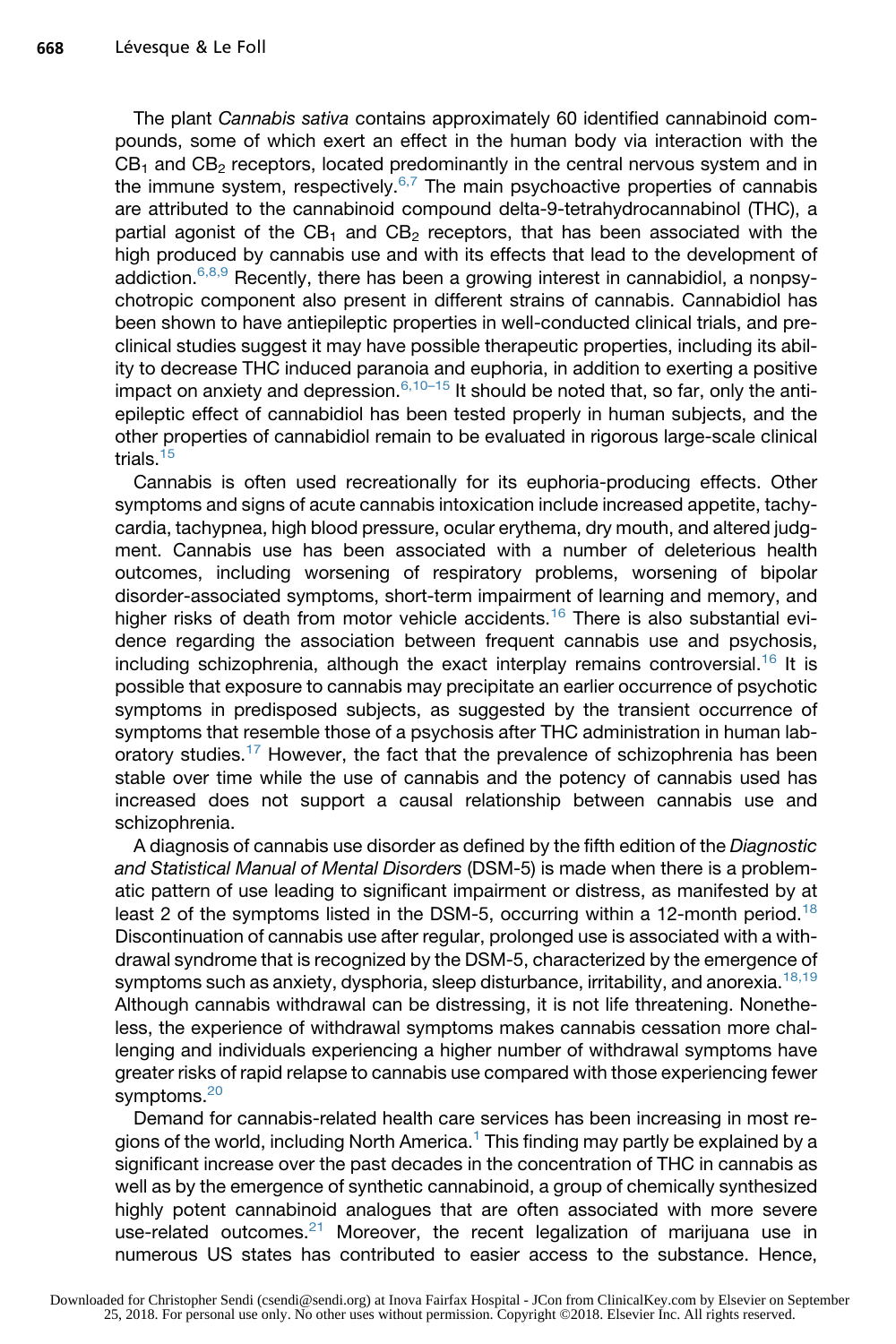The plant *Cannabis sativa* contains approximately 60 identified cannabinoid compounds, some of which exert an effect in the human body via interaction with the  $CB<sub>1</sub>$  and  $CB<sub>2</sub>$  receptors, located predominantly in the central nervous system and in the immune system, respectively. $6,7$  The main psychoactive properties of cannabis are attributed to the cannabinoid compound delta-9-tetrahydrocannabinol (THC), a partial agonist of the  $CB_1$  and  $CB_2$  receptors, that has been associated with the high produced by cannabis use and with its effects that lead to the development of addiction.  $6,8,9$  Recently, there has been a growing interest in cannabidiol, a nonpsychotropic component also present in different strains of cannabis. Cannabidiol has been shown to have antiepileptic properties in well-conducted clinical trials, and preclinical studies suggest it may have possible therapeutic properties, including its ability to decrease THC induced paranoia and euphoria, in addition to exerting a positive impact on anxiety and depression. $6,10-15$  It should be noted that, so far, only the antiepileptic effect of cannabidiol has been tested properly in human subjects, and the other properties of cannabidiol remain to be evaluated in rigorous large-scale clinical trials $15$ 

Cannabis is often used recreationally for its euphoria-producing effects. Other symptoms and signs of acute cannabis intoxication include increased appetite, tachycardia, tachypnea, high blood pressure, ocular erythema, dry mouth, and altered judgment. Cannabis use has been associated with a number of deleterious health outcomes, including worsening of respiratory problems, worsening of bipolar disorder-associated symptoms, short-term impairment of learning and memory, and higher risks of death from motor vehicle accidents.<sup>[16](#page-11-0)</sup> There is also substantial evidence regarding the association between frequent cannabis use and psychosis, including schizophrenia, although the exact interplay remains controversial.<sup>[16](#page-11-0)</sup> It is possible that exposure to cannabis may precipitate an earlier occurrence of psychotic symptoms in predisposed subjects, as suggested by the transient occurrence of symptoms that resemble those of a psychosis after THC administration in human laboratory studies.<sup>17</sup> However, the fact that the prevalence of schizophrenia has been stable over time while the use of cannabis and the potency of cannabis used has increased does not support a causal relationship between cannabis use and schizophrenia.

A diagnosis of cannabis use disorder as defined by the fifth edition of the *Diagnostic and Statistical Manual of Mental Disorders* (DSM-5) is made when there is a problematic pattern of use leading to significant impairment or distress, as manifested by at least 2 of the symptoms listed in the DSM-5, occurring within a 12-month period.<sup>[18](#page-11-0)</sup> Discontinuation of cannabis use after regular, prolonged use is associated with a withdrawal syndrome that is recognized by the DSM-5, characterized by the emergence of symptoms such as anxiety, dysphoria, sleep disturbance, irritability, and anorexia.<sup>[18,19](#page-11-0)</sup> Although cannabis withdrawal can be distressing, it is not life threatening. Nonetheless, the experience of withdrawal symptoms makes cannabis cessation more challenging and individuals experiencing a higher number of withdrawal symptoms have greater risks of rapid relapse to cannabis use compared with those experiencing fewer symptoms.<sup>[20](#page-11-0)</sup>

Demand for cannabis-related health care services has been increasing in most re-gions of the world, including North America.<sup>[1](#page-10-0)</sup> This finding may partly be explained by a significant increase over the past decades in the concentration of THC in cannabis as well as by the emergence of synthetic cannabinoid, a group of chemically synthesized highly potent cannabinoid analogues that are often associated with more severe use-related outcomes.<sup>[21](#page-11-0)</sup> Moreover, the recent legalization of marijuana use in numerous US states has contributed to easier access to the substance. Hence,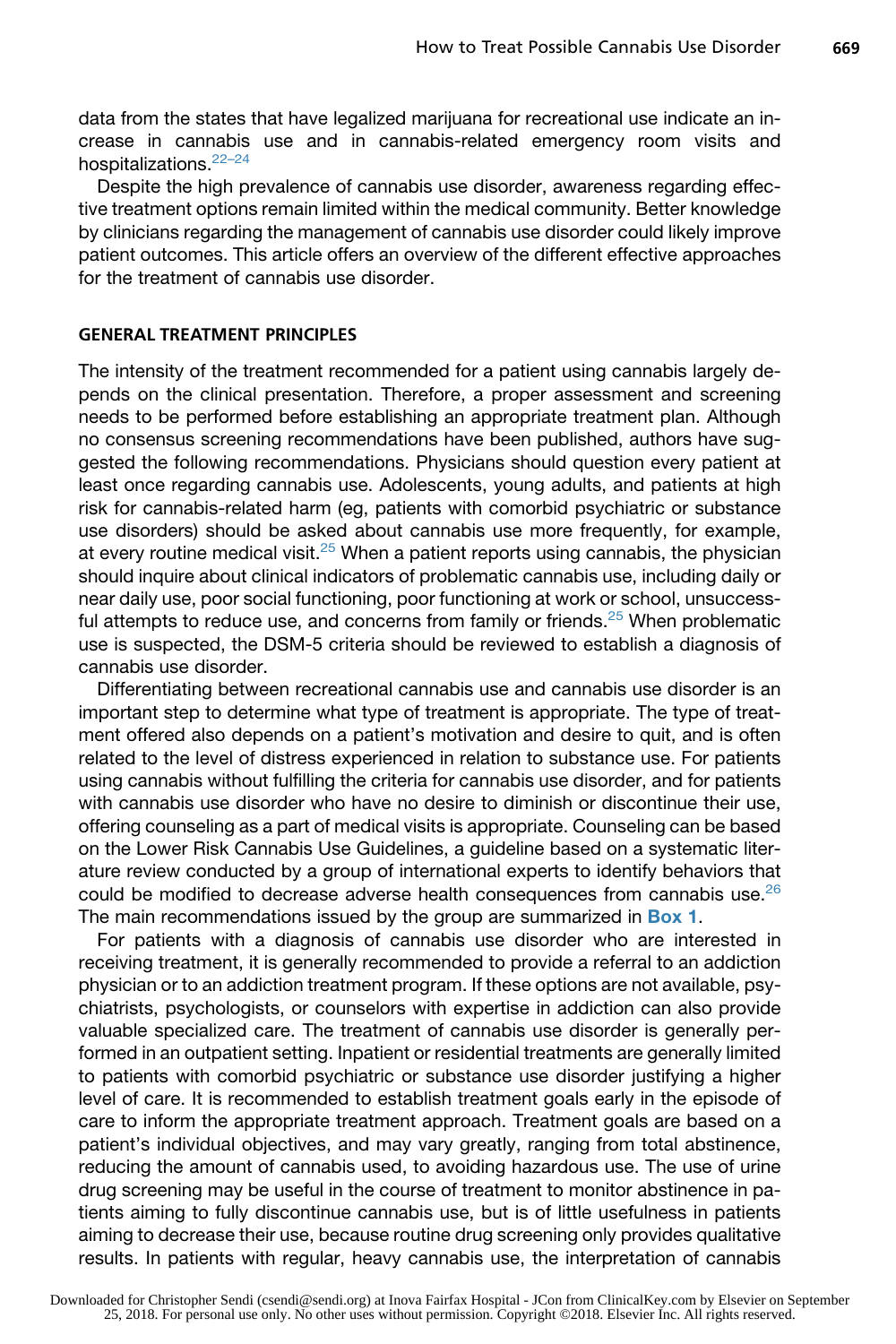data from the states that have legalized marijuana for recreational use indicate an increase in cannabis use and in cannabis-related emergency room visits and hospitalizations.<sup>22-24</sup>

Despite the high prevalence of cannabis use disorder, awareness regarding effective treatment options remain limited within the medical community. Better knowledge by clinicians regarding the management of cannabis use disorder could likely improve patient outcomes. This article offers an overview of the different effective approaches for the treatment of cannabis use disorder.

# GENERAL TREATMENT PRINCIPLES

The intensity of the treatment recommended for a patient using cannabis largely depends on the clinical presentation. Therefore, a proper assessment and screening needs to be performed before establishing an appropriate treatment plan. Although no consensus screening recommendations have been published, authors have suggested the following recommendations. Physicians should question every patient at least once regarding cannabis use. Adolescents, young adults, and patients at high risk for cannabis-related harm (eg, patients with comorbid psychiatric or substance use disorders) should be asked about cannabis use more frequently, for example, at every routine medical visit. $25$  When a patient reports using cannabis, the physician should inquire about clinical indicators of problematic cannabis use, including daily or near daily use, poor social functioning, poor functioning at work or school, unsuccess-ful attempts to reduce use, and concerns from family or friends.<sup>[25](#page-11-0)</sup> When problematic use is suspected, the DSM-5 criteria should be reviewed to establish a diagnosis of cannabis use disorder.

Differentiating between recreational cannabis use and cannabis use disorder is an important step to determine what type of treatment is appropriate. The type of treatment offered also depends on a patient's motivation and desire to quit, and is often related to the level of distress experienced in relation to substance use. For patients using cannabis without fulfilling the criteria for cannabis use disorder, and for patients with cannabis use disorder who have no desire to diminish or discontinue their use, offering counseling as a part of medical visits is appropriate. Counseling can be based on the Lower Risk Cannabis Use Guidelines, a guideline based on a systematic literature review conducted by a group of international experts to identify behaviors that could be modified to decrease adverse health consequences from cannabis use.<sup>26</sup> The main recommendations issued by the group are summarized in **[Box 1](#page-3-0)**.

For patients with a diagnosis of cannabis use disorder who are interested in receiving treatment, it is generally recommended to provide a referral to an addiction physician or to an addiction treatment program. If these options are not available, psychiatrists, psychologists, or counselors with expertise in addiction can also provide valuable specialized care. The treatment of cannabis use disorder is generally performed in an outpatient setting. Inpatient or residential treatments are generally limited to patients with comorbid psychiatric or substance use disorder justifying a higher level of care. It is recommended to establish treatment goals early in the episode of care to inform the appropriate treatment approach. Treatment goals are based on a patient's individual objectives, and may vary greatly, ranging from total abstinence, reducing the amount of cannabis used, to avoiding hazardous use. The use of urine drug screening may be useful in the course of treatment to monitor abstinence in patients aiming to fully discontinue cannabis use, but is of little usefulness in patients aiming to decrease their use, because routine drug screening only provides qualitative results. In patients with regular, heavy cannabis use, the interpretation of cannabis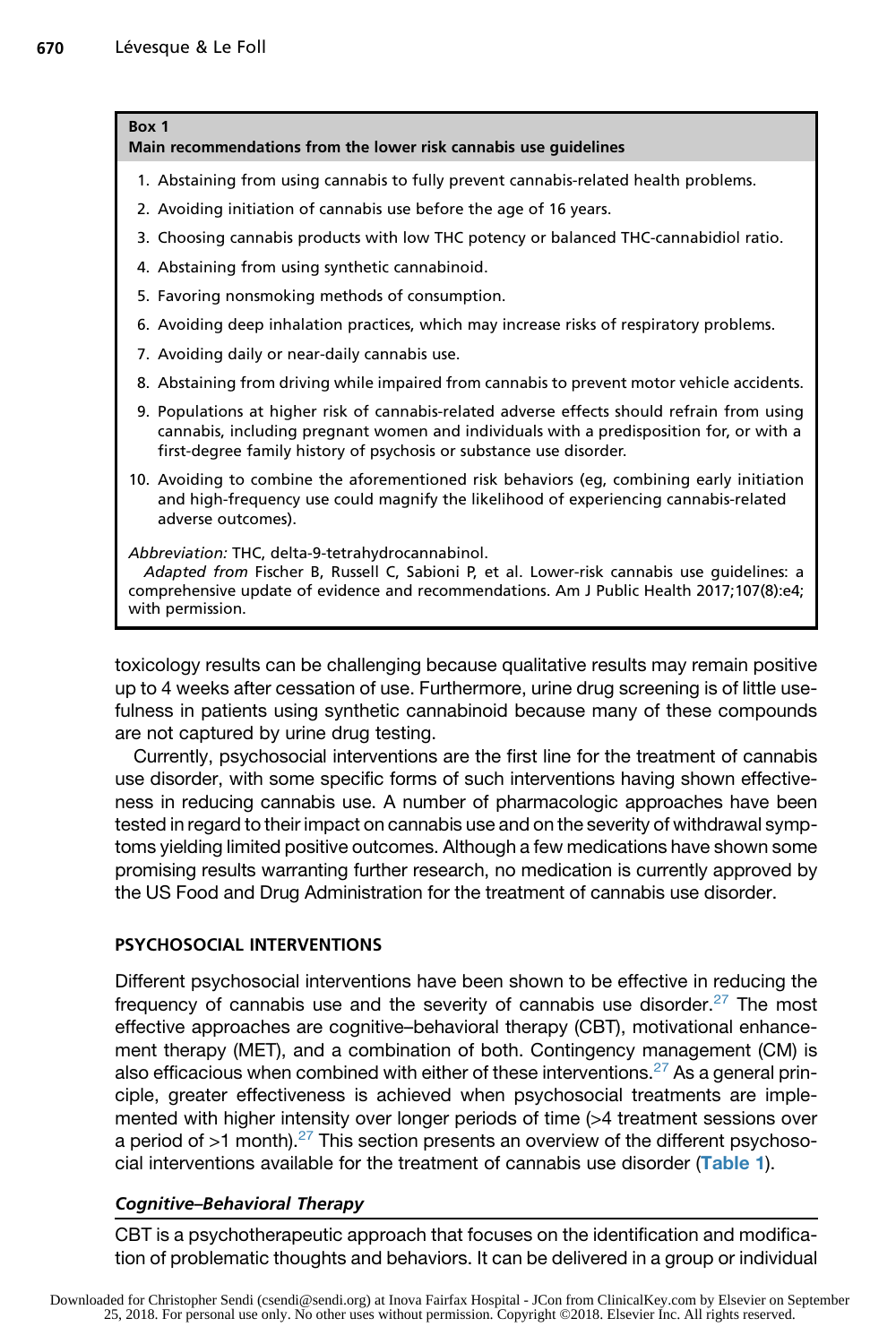#### <span id="page-3-0"></span>Box 1

Main recommendations from the lower risk cannabis use guidelines

- 1. Abstaining from using cannabis to fully prevent cannabis-related health problems.
- 2. Avoiding initiation of cannabis use before the age of 16 years.
- 3. Choosing cannabis products with low THC potency or balanced THC-cannabidiol ratio.
- 4. Abstaining from using synthetic cannabinoid.
- 5. Favoring nonsmoking methods of consumption.
- 6. Avoiding deep inhalation practices, which may increase risks of respiratory problems.
- 7. Avoiding daily or near-daily cannabis use.
- 8. Abstaining from driving while impaired from cannabis to prevent motor vehicle accidents.
- 9. Populations at higher risk of cannabis-related adverse effects should refrain from using cannabis, including pregnant women and individuals with a predisposition for, or with a first-degree family history of psychosis or substance use disorder.
- 10. Avoiding to combine the aforementioned risk behaviors (eg, combining early initiation and high-frequency use could magnify the likelihood of experiencing cannabis-related adverse outcomes).

Abbreviation: THC, delta-9-tetrahydrocannabinol. Adapted from Fischer B, Russell C, Sabioni P, et al. Lower-risk cannabis use guidelines: a comprehensive update of evidence and recommendations. Am J Public Health 2017;107(8):e4; with permission.

toxicology results can be challenging because qualitative results may remain positive up to 4 weeks after cessation of use. Furthermore, urine drug screening is of little usefulness in patients using synthetic cannabinoid because many of these compounds are not captured by urine drug testing.

Currently, psychosocial interventions are the first line for the treatment of cannabis use disorder, with some specific forms of such interventions having shown effectiveness in reducing cannabis use. A number of pharmacologic approaches have been tested in regard to their impact on cannabis use and on the severity of withdrawal symptoms yielding limited positive outcomes. Although a few medications have shown some promising results warranting further research, no medication is currently approved by the US Food and Drug Administration for the treatment of cannabis use disorder.

# PSYCHOSOCIAL INTERVENTIONS

Different psychosocial interventions have been shown to be effective in reducing the frequency of cannabis use and the severity of cannabis use disorder.<sup>[27](#page-11-0)</sup> The most effective approaches are cognitive–behavioral therapy (CBT), motivational enhancement therapy (MET), and a combination of both. Contingency management (CM) is also efficacious when combined with either of these interventions.<sup>[27](#page-11-0)</sup> As a general principle, greater effectiveness is achieved when psychosocial treatments are implemented with higher intensity over longer periods of time (>4 treatment sessions over a period of  $>1$  month).<sup>[27](#page-11-0)</sup> This section presents an overview of the different psychosocial interventions available for the treatment of cannabis use disorder ([Table 1](#page-4-0)).

# Cognitive–Behavioral Therapy

CBT is a psychotherapeutic approach that focuses on the identification and modification of problematic thoughts and behaviors. It can be delivered in a group or individual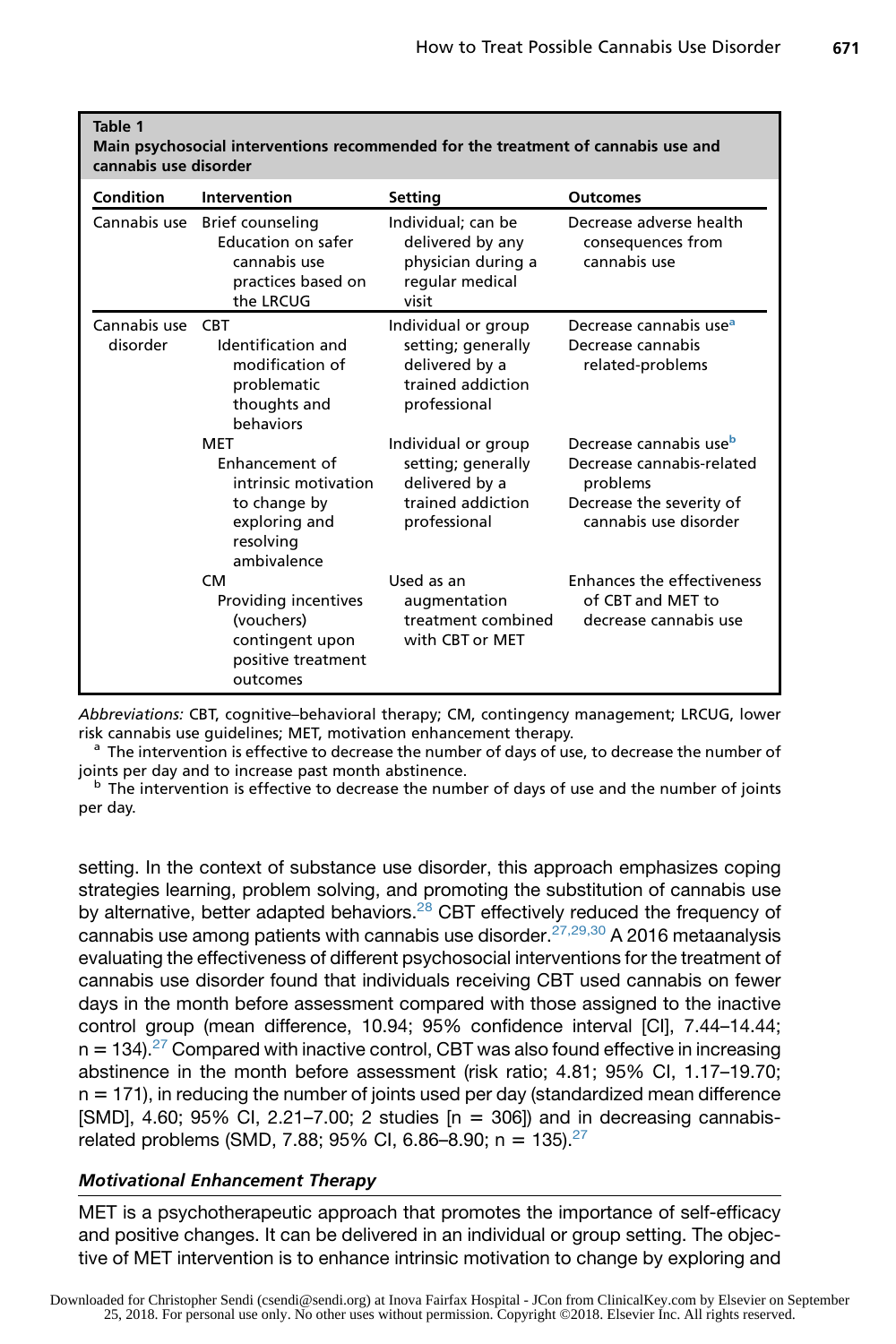<span id="page-4-0"></span>

| Table 1<br>Main psychosocial interventions recommended for the treatment of cannabis use and<br>cannabis use disorder |                                                                                                                   |                                                                                                  |                                                                                                                                  |
|-----------------------------------------------------------------------------------------------------------------------|-------------------------------------------------------------------------------------------------------------------|--------------------------------------------------------------------------------------------------|----------------------------------------------------------------------------------------------------------------------------------|
| Condition                                                                                                             | Intervention                                                                                                      | <b>Setting</b>                                                                                   | <b>Outcomes</b>                                                                                                                  |
| Cannabis use                                                                                                          | Brief counseling<br>Education on safer<br>cannabis use<br>practices based on<br>the LRCUG                         | Individual; can be<br>delivered by any<br>physician during a<br>regular medical<br>visit         | Decrease adverse health<br>consequences from<br>cannabis use                                                                     |
| Cannabis use<br>disorder                                                                                              | <b>CRT</b><br>Identification and<br>modification of<br>problematic<br>thoughts and<br><b>behaviors</b>            | Individual or group<br>setting; generally<br>delivered by a<br>trained addiction<br>professional | Decrease cannabis use <sup>a</sup><br>Decrease cannabis<br>related-problems                                                      |
|                                                                                                                       | <b>MFT</b><br>Enhancement of<br>intrinsic motivation<br>to change by<br>exploring and<br>resolving<br>ambivalence | Individual or group<br>setting; generally<br>delivered by a<br>trained addiction<br>professional | Decrease cannabis use <sup>b</sup><br>Decrease cannabis-related<br>problems<br>Decrease the severity of<br>cannabis use disorder |
|                                                                                                                       | CM.<br>Providing incentives<br>(vouchers)<br>contingent upon<br>positive treatment<br>outcomes                    | Used as an<br>augmentation<br>treatment combined<br>with CBT or MET                              | Enhances the effectiveness<br>of CBT and MET to<br>decrease cannabis use                                                         |

Abbreviations: CBT, cognitive–behavioral therapy; CM, contingency management; LRCUG, lower risk cannabis use guidelines; MET, motivation enhancement therapy.<br><sup>a</sup> The intervention is effective to decrease the number of days of use, to decrease the number of

joints per day and to increase past month abstinence.<br>b The intervention is effective to decrease the number of days of use and the number of joints

per day.

setting. In the context of substance use disorder, this approach emphasizes coping strategies learning, problem solving, and promoting the substitution of cannabis use by alternative, better adapted behaviors.<sup>[28](#page-11-0)</sup> CBT effectively reduced the frequency of cannabis use among patients with cannabis use disorder.<sup>[27,29,30](#page-11-0)</sup> A 2016 metaanalysis evaluating the effectiveness of different psychosocial interventions for the treatment of cannabis use disorder found that individuals receiving CBT used cannabis on fewer days in the month before assessment compared with those assigned to the inactive control group (mean difference, 10.94; 95% confidence interval [CI], 7.44–14.44;  $n = 134$ .<sup>[27](#page-11-0)</sup> Compared with inactive control, CBT was also found effective in increasing abstinence in the month before assessment (risk ratio; 4.81; 95% CI, 1.17–19.70;  $n = 171$ ), in reducing the number of joints used per day (standardized mean difference  $[SMD]$ , 4.60; 95% CI, 2.21–7.00; 2 studies  $[n = 306]$ ) and in decreasing cannabisrelated problems (SMD, 7.88; 95% CI, 6.86-8.90; n =  $135$ ).<sup>27</sup>

# Motivational Enhancement Therapy

MET is a psychotherapeutic approach that promotes the importance of self-efficacy and positive changes. It can be delivered in an individual or group setting. The objective of MET intervention is to enhance intrinsic motivation to change by exploring and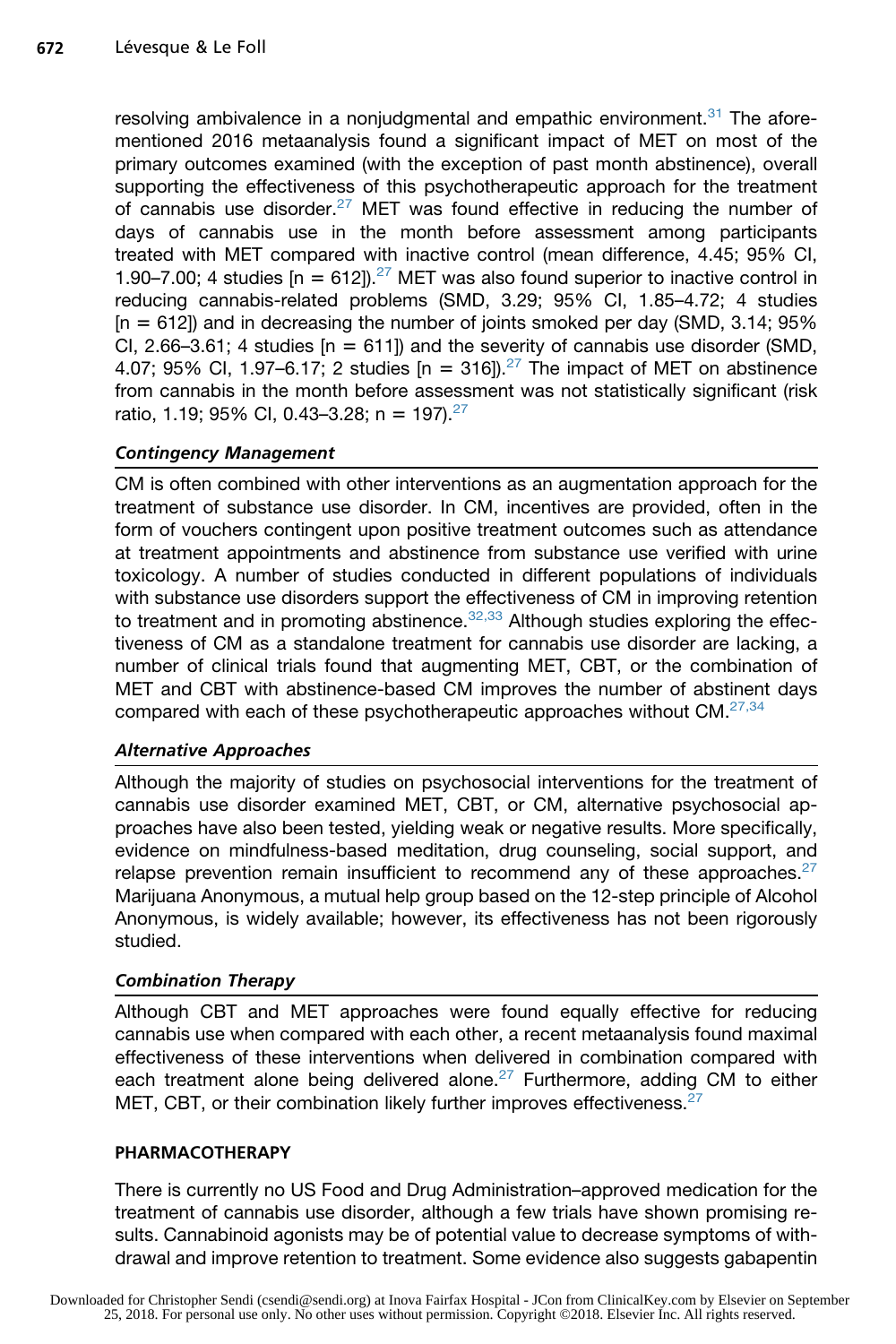resolving ambivalence in a nonjudgmental and empathic environment.<sup>[31](#page-12-0)</sup> The aforementioned 2016 metaanalysis found a significant impact of MET on most of the primary outcomes examined (with the exception of past month abstinence), overall supporting the effectiveness of this psychotherapeutic approach for the treatment of cannabis use disorder.<sup>[27](#page-11-0)</sup> MET was found effective in reducing the number of days of cannabis use in the month before assessment among participants treated with MET compared with inactive control (mean difference, 4.45; 95% CI, 1.90–7.00; 4 studies  $[n = 612]$ .<sup>[27](#page-11-0)</sup> MET was also found superior to inactive control in reducing cannabis-related problems (SMD, 3.29; 95% CI, 1.85–4.72; 4 studies  $[n = 612]$ ) and in decreasing the number of joints smoked per day (SMD, 3.14; 95% CI, 2.66-3.61; 4 studies  $[n = 611]$ ) and the severity of cannabis use disorder (SMD, 4.07; 95% CI, 1.97–6.17; 2 studies  $[n = 316]$ .<sup>[27](#page-11-0)</sup> The impact of MET on abstinence from cannabis in the month before assessment was not statistically significant (risk ratio, 1.19; 95% CI, 0.43-3.28; n = 197).<sup>[27](#page-11-0)</sup>

# Contingency Management

CM is often combined with other interventions as an augmentation approach for the treatment of substance use disorder. In CM, incentives are provided, often in the form of vouchers contingent upon positive treatment outcomes such as attendance at treatment appointments and abstinence from substance use verified with urine toxicology. A number of studies conducted in different populations of individuals with substance use disorders support the effectiveness of CM in improving retention to treatment and in promoting abstinence. $32,33$  Although studies exploring the effectiveness of CM as a standalone treatment for cannabis use disorder are lacking, a number of clinical trials found that augmenting MET, CBT, or the combination of MET and CBT with abstinence-based CM improves the number of abstinent days compared with each of these psychotherapeutic approaches without CM.<sup>[27,34](#page-11-0)</sup>

# Alternative Approaches

Although the majority of studies on psychosocial interventions for the treatment of cannabis use disorder examined MET, CBT, or CM, alternative psychosocial approaches have also been tested, yielding weak or negative results. More specifically, evidence on mindfulness-based meditation, drug counseling, social support, and relapse prevention remain insufficient to recommend any of these approaches.<sup>[27](#page-11-0)</sup> Marijuana Anonymous, a mutual help group based on the 12-step principle of Alcohol Anonymous, is widely available; however, its effectiveness has not been rigorously studied.

# Combination Therapy

Although CBT and MET approaches were found equally effective for reducing cannabis use when compared with each other, a recent metaanalysis found maximal effectiveness of these interventions when delivered in combination compared with each treatment alone being delivered alone.<sup>[27](#page-11-0)</sup> Furthermore, adding CM to either MET, CBT, or their combination likely further improves effectiveness.<sup>[27](#page-11-0)</sup>

# PHARMACOTHERAPY

There is currently no US Food and Drug Administration–approved medication for the treatment of cannabis use disorder, although a few trials have shown promising results. Cannabinoid agonists may be of potential value to decrease symptoms of withdrawal and improve retention to treatment. Some evidence also suggests gabapentin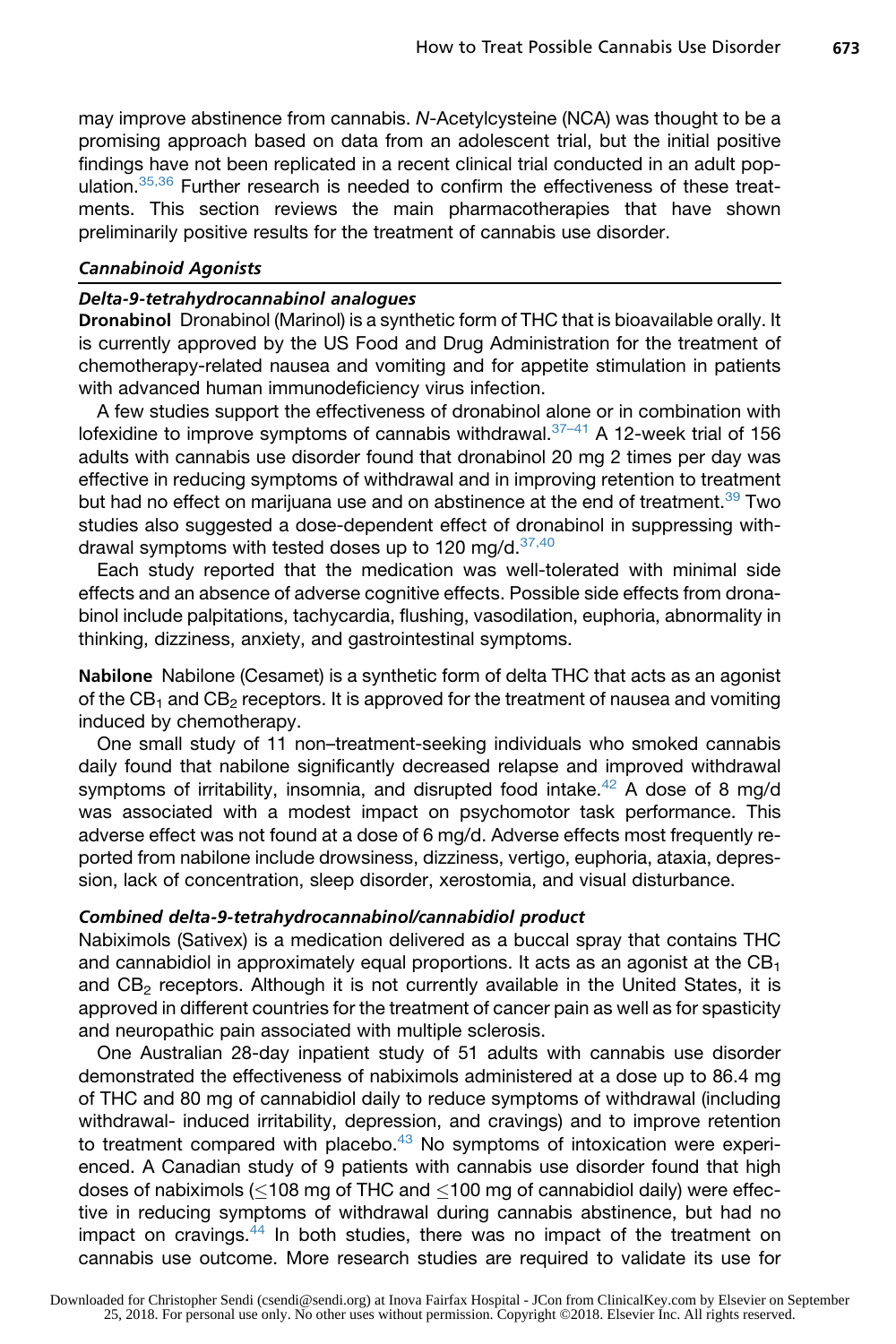may improve abstinence from cannabis. *N*-Acetylcysteine (NCA) was thought to be a promising approach based on data from an adolescent trial, but the initial positive findings have not been replicated in a recent clinical trial conducted in an adult pop-ulation.<sup>[35,36](#page-12-0)</sup> Further research is needed to confirm the effectiveness of these treatments. This section reviews the main pharmacotherapies that have shown preliminarily positive results for the treatment of cannabis use disorder.

#### Cannabinoid Agonists

# Delta-9-tetrahydrocannabinol analogues

Dronabinol Dronabinol (Marinol) is a synthetic form of THC that is bioavailable orally. It is currently approved by the US Food and Drug Administration for the treatment of chemotherapy-related nausea and vomiting and for appetite stimulation in patients with advanced human immunodeficiency virus infection.

A few studies support the effectiveness of dronabinol alone or in combination with lofexidine to improve symptoms of cannabis withdrawal. $37-41$  A 12-week trial of 156 adults with cannabis use disorder found that dronabinol 20 mg 2 times per day was effective in reducing symptoms of withdrawal and in improving retention to treatment but had no effect on marijuana use and on abstinence at the end of treatment.<sup>[39](#page-12-0)</sup> Two studies also suggested a dose-dependent effect of dronabinol in suppressing with-drawal symptoms with tested doses up to 120 mg/d. [37,40](#page-12-0)

Each study reported that the medication was well-tolerated with minimal side effects and an absence of adverse cognitive effects. Possible side effects from dronabinol include palpitations, tachycardia, flushing, vasodilation, euphoria, abnormality in thinking, dizziness, anxiety, and gastrointestinal symptoms.

Nabilone Nabilone (Cesamet) is a synthetic form of delta THC that acts as an agonist of the  $CB_1$  and  $CB_2$  receptors. It is approved for the treatment of nausea and vomiting induced by chemotherapy.

One small study of 11 non–treatment-seeking individuals who smoked cannabis daily found that nabilone significantly decreased relapse and improved withdrawal symptoms of irritability, insomnia, and disrupted food intake.<sup>[42](#page-12-0)</sup> A dose of 8 mg/d was associated with a modest impact on psychomotor task performance. This adverse effect was not found at a dose of 6 mg/d. Adverse effects most frequently reported from nabilone include drowsiness, dizziness, vertigo, euphoria, ataxia, depression, lack of concentration, sleep disorder, xerostomia, and visual disturbance.

# Combined delta-9-tetrahydrocannabinol/cannabidiol product

Nabiximols (Sativex) is a medication delivered as a buccal spray that contains THC and cannabidiol in approximately equal proportions. It acts as an agonist at the  $CB<sub>1</sub>$ and  $CB<sub>2</sub>$  receptors. Although it is not currently available in the United States, it is approved in different countries for the treatment of cancer pain as well as for spasticity and neuropathic pain associated with multiple sclerosis.

One Australian 28-day inpatient study of 51 adults with cannabis use disorder demonstrated the effectiveness of nabiximols administered at a dose up to 86.4 mg of THC and 80 mg of cannabidiol daily to reduce symptoms of withdrawal (including withdrawal- induced irritability, depression, and cravings) and to improve retention to treatment compared with placebo. $43$  No symptoms of intoxication were experienced. A Canadian study of 9 patients with cannabis use disorder found that high doses of nabiximols  $\ll 108$  mg of THC and  $\lt 100$  mg of cannabidiol daily) were effective in reducing symptoms of withdrawal during cannabis abstinence, but had no impact on cravings.<sup>[44](#page-12-0)</sup> In both studies, there was no impact of the treatment on cannabis use outcome. More research studies are required to validate its use for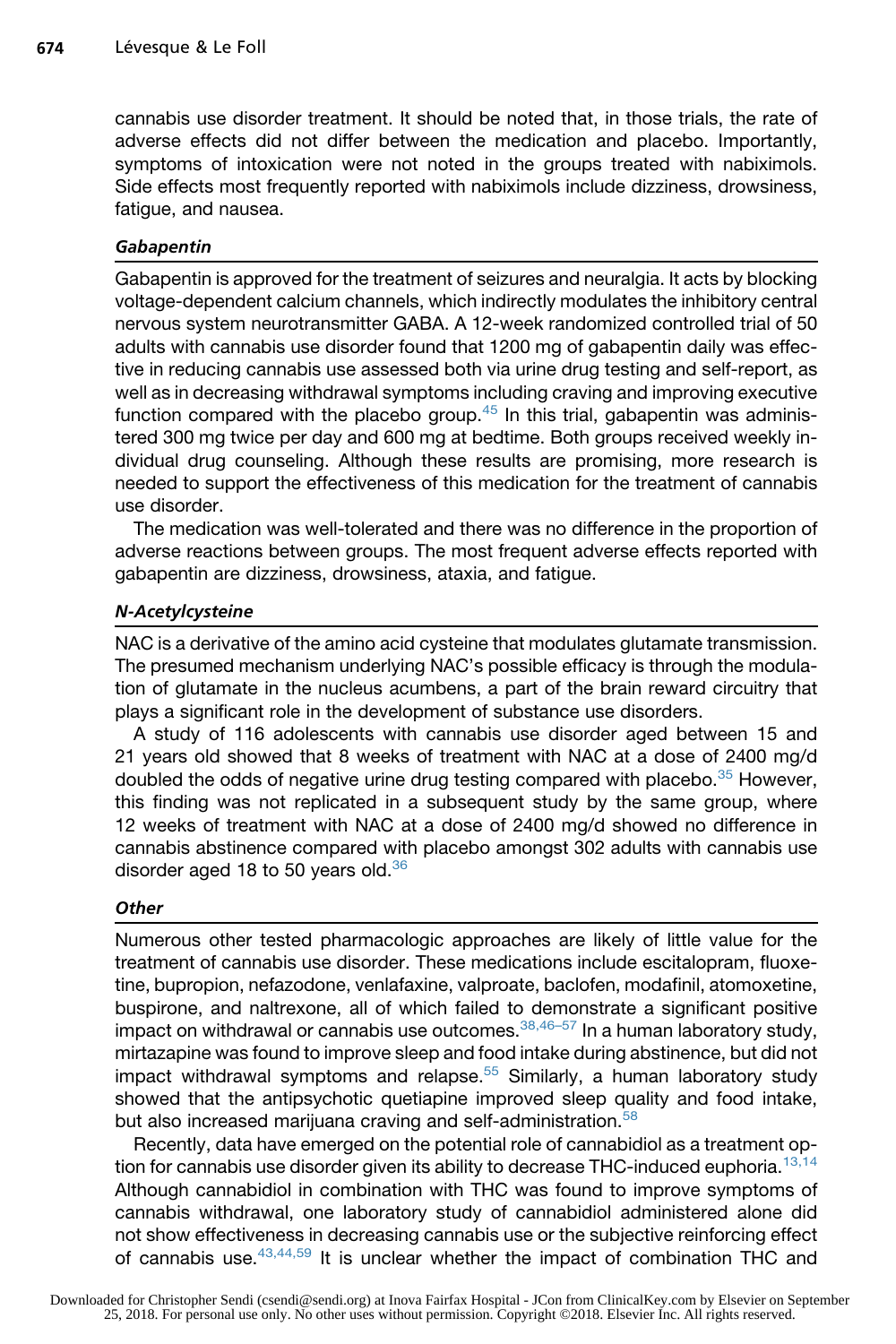cannabis use disorder treatment. It should be noted that, in those trials, the rate of adverse effects did not differ between the medication and placebo. Importantly, symptoms of intoxication were not noted in the groups treated with nabiximols. Side effects most frequently reported with nabiximols include dizziness, drowsiness, fatigue, and nausea.

# **Gabapentin**

Gabapentin is approved for the treatment of seizures and neuralgia. It acts by blocking voltage-dependent calcium channels, which indirectly modulates the inhibitory central nervous system neurotransmitter GABA. A 12-week randomized controlled trial of 50 adults with cannabis use disorder found that 1200 mg of gabapentin daily was effective in reducing cannabis use assessed both via urine drug testing and self-report, as well as in decreasing withdrawal symptoms including craving and improving executive function compared with the placebo group.<sup>[45](#page-12-0)</sup> In this trial, gabapentin was administered 300 mg twice per day and 600 mg at bedtime. Both groups received weekly individual drug counseling. Although these results are promising, more research is needed to support the effectiveness of this medication for the treatment of cannabis use disorder.

The medication was well-tolerated and there was no difference in the proportion of adverse reactions between groups. The most frequent adverse effects reported with gabapentin are dizziness, drowsiness, ataxia, and fatigue.

# N-Acetylcysteine

NAC is a derivative of the amino acid cysteine that modulates glutamate transmission. The presumed mechanism underlying NAC's possible efficacy is through the modulation of glutamate in the nucleus acumbens, a part of the brain reward circuitry that plays a significant role in the development of substance use disorders.

A study of 116 adolescents with cannabis use disorder aged between 15 and 21 years old showed that 8 weeks of treatment with NAC at a dose of 2400 mg/d doubled the odds of negative urine drug testing compared with placebo.<sup>[35](#page-12-0)</sup> However, this finding was not replicated in a subsequent study by the same group, where 12 weeks of treatment with NAC at a dose of 2400 mg/d showed no difference in cannabis abstinence compared with placebo amongst 302 adults with cannabis use disorder aged 18 to 50 years old. $36$ 

# **Other**

Numerous other tested pharmacologic approaches are likely of little value for the treatment of cannabis use disorder. These medications include escitalopram, fluoxetine, bupropion, nefazodone, venlafaxine, valproate, baclofen, modafinil, atomoxetine, buspirone, and naltrexone, all of which failed to demonstrate a significant positive impact on withdrawal or cannabis use outcomes.  $38,46-57$  In a human laboratory study, mirtazapine was found to improve sleep and food intake during abstinence, but did not impact withdrawal symptoms and relapse. $55$  Similarly, a human laboratory study showed that the antipsychotic quetiapine improved sleep quality and food intake, but also increased marijuana craving and self-administration.<sup>[58](#page-13-0)</sup>

Recently, data have emerged on the potential role of cannabidiol as a treatment op-tion for cannabis use disorder given its ability to decrease THC-induced euphoria.<sup>[13,14](#page-11-0)</sup> Although cannabidiol in combination with THC was found to improve symptoms of cannabis withdrawal, one laboratory study of cannabidiol administered alone did not show effectiveness in decreasing cannabis use or the subjective reinforcing effect of cannabis use.  $43,44,59$  It is unclear whether the impact of combination THC and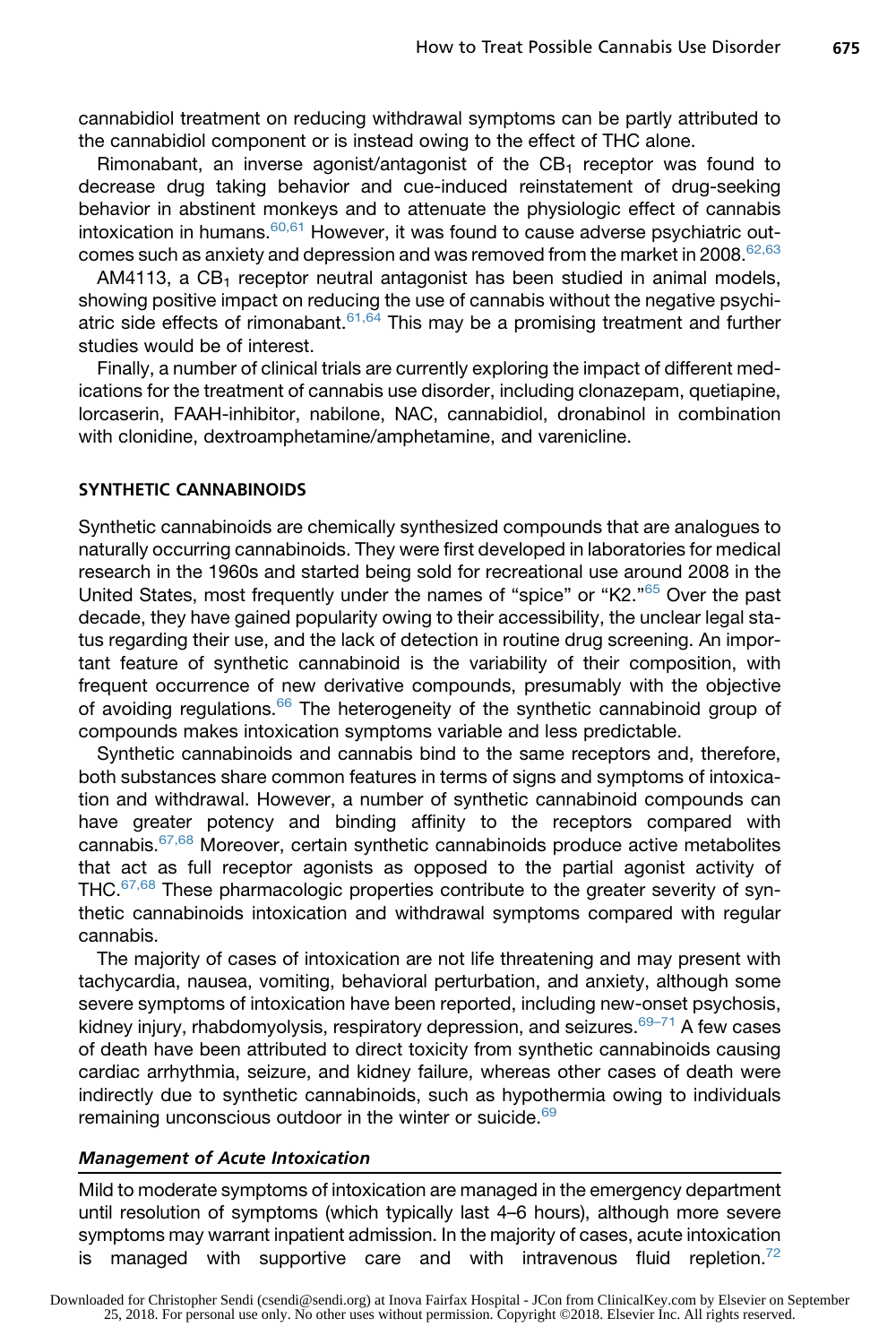cannabidiol treatment on reducing withdrawal symptoms can be partly attributed to the cannabidiol component or is instead owing to the effect of THC alone.

Rimonabant, an inverse agonist/antagonist of the  $CB_1$  receptor was found to decrease drug taking behavior and cue-induced reinstatement of drug-seeking behavior in abstinent monkeys and to attenuate the physiologic effect of cannabis intoxication in humans.<sup>60,61</sup> However, it was found to cause adverse psychiatric outcomes such as anxiety and depression and was removed from the market in 2008. $62,63$ 

AM4113, a  $CB_1$  receptor neutral antagonist has been studied in animal models, showing positive impact on reducing the use of cannabis without the negative psychiatric side effects of rimonabant.  $61,64$  This may be a promising treatment and further studies would be of interest.

Finally, a number of clinical trials are currently exploring the impact of different medications for the treatment of cannabis use disorder, including clonazepam, quetiapine, lorcaserin, FAAH-inhibitor, nabilone, NAC, cannabidiol, dronabinol in combination with clonidine, dextroamphetamine/amphetamine, and varenicline.

#### SYNTHETIC CANNABINOIDS

Synthetic cannabinoids are chemically synthesized compounds that are analogues to naturally occurring cannabinoids. They were first developed in laboratories for medical research in the 1960s and started being sold for recreational use around 2008 in the United States, most frequently under the names of "spice" or "K2."<sup>[65](#page-14-0)</sup> Over the past decade, they have gained popularity owing to their accessibility, the unclear legal status regarding their use, and the lack of detection in routine drug screening. An important feature of synthetic cannabinoid is the variability of their composition, with frequent occurrence of new derivative compounds, presumably with the objective of avoiding regulations.<sup>[66](#page-14-0)</sup> The heterogeneity of the synthetic cannabinoid group of compounds makes intoxication symptoms variable and less predictable.

Synthetic cannabinoids and cannabis bind to the same receptors and, therefore, both substances share common features in terms of signs and symptoms of intoxication and withdrawal. However, a number of synthetic cannabinoid compounds can have greater potency and binding affinity to the receptors compared with cannabis.[67,68](#page-14-0) Moreover, certain synthetic cannabinoids produce active metabolites that act as full receptor agonists as opposed to the partial agonist activity of THC.<sup>67,68</sup> These pharmacologic properties contribute to the greater severity of synthetic cannabinoids intoxication and withdrawal symptoms compared with regular cannabis.

The majority of cases of intoxication are not life threatening and may present with tachycardia, nausea, vomiting, behavioral perturbation, and anxiety, although some severe symptoms of intoxication have been reported, including new-onset psychosis, kidney injury, rhabdomyolysis, respiratory depression, and seizures. $69-71$  A few cases of death have been attributed to direct toxicity from synthetic cannabinoids causing cardiac arrhythmia, seizure, and kidney failure, whereas other cases of death were indirectly due to synthetic cannabinoids, such as hypothermia owing to individuals remaining unconscious outdoor in the winter or suicide.<sup>[69](#page-14-0)</sup>

#### Management of Acute Intoxication

Mild to moderate symptoms of intoxication are managed in the emergency department until resolution of symptoms (which typically last 4–6 hours), although more severe symptoms may warrant inpatient admission. In the majority of cases, acute intoxication is managed with supportive care and with intravenous fluid repletion.<sup>72</sup>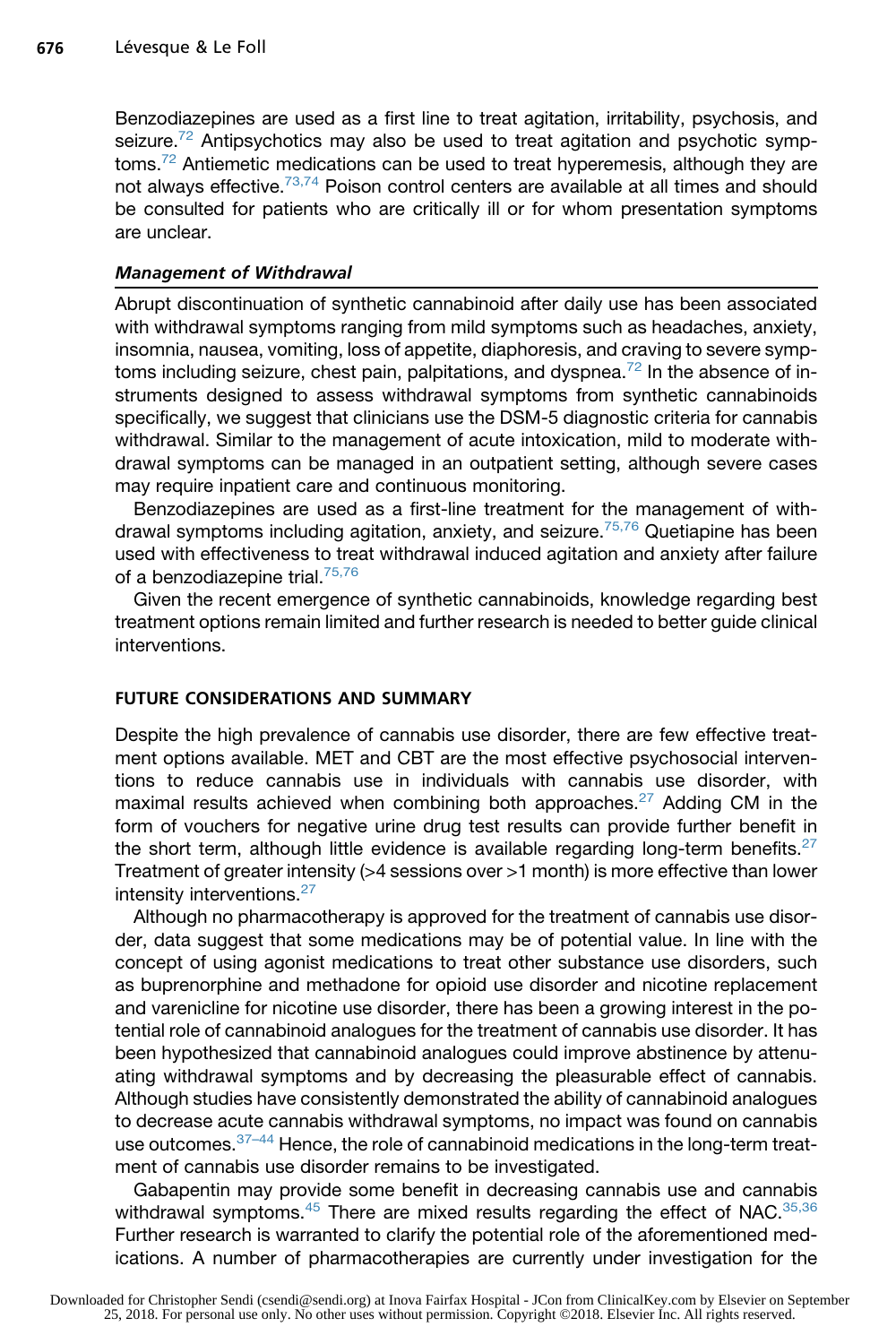Benzodiazepines are used as a first line to treat agitation, irritability, psychosis, and seizure.<sup>72</sup> Antipsychotics may also be used to treat agitation and psychotic symp-toms.<sup>[72](#page-14-0)</sup> Antiemetic medications can be used to treat hyperemesis, although they are not always effective.<sup>73,74</sup> Poison control centers are available at all times and should be consulted for patients who are critically ill or for whom presentation symptoms are unclear.

### Management of Withdrawal

Abrupt discontinuation of synthetic cannabinoid after daily use has been associated with withdrawal symptoms ranging from mild symptoms such as headaches, anxiety, insomnia, nausea, vomiting, loss of appetite, diaphoresis, and craving to severe symp-toms including seizure, chest pain, palpitations, and dyspnea.<sup>[72](#page-14-0)</sup> In the absence of instruments designed to assess withdrawal symptoms from synthetic cannabinoids specifically, we suggest that clinicians use the DSM-5 diagnostic criteria for cannabis withdrawal. Similar to the management of acute intoxication, mild to moderate withdrawal symptoms can be managed in an outpatient setting, although severe cases may require inpatient care and continuous monitoring.

Benzodiazepines are used as a first-line treatment for the management of with-drawal symptoms including agitation, anxiety, and seizure.<sup>[75,76](#page-14-0)</sup> Quetiapine has been used with effectiveness to treat withdrawal induced agitation and anxiety after failure of a benzodiazepine trial.<sup>[75,76](#page-14-0)</sup>

Given the recent emergence of synthetic cannabinoids, knowledge regarding best treatment options remain limited and further research is needed to better guide clinical interventions.

#### FUTURE CONSIDERATIONS AND SUMMARY

Despite the high prevalence of cannabis use disorder, there are few effective treatment options available. MET and CBT are the most effective psychosocial interventions to reduce cannabis use in individuals with cannabis use disorder, with maximal results achieved when combining both approaches.<sup>[27](#page-11-0)</sup> Adding CM in the form of vouchers for negative urine drug test results can provide further benefit in the short term, although little evidence is available regarding long-term benefits. $27$ Treatment of greater intensity (>4 sessions over >1 month) is more effective than lower intensity interventions.<sup>[27](#page-11-0)</sup>

Although no pharmacotherapy is approved for the treatment of cannabis use disorder, data suggest that some medications may be of potential value. In line with the concept of using agonist medications to treat other substance use disorders, such as buprenorphine and methadone for opioid use disorder and nicotine replacement and varenicline for nicotine use disorder, there has been a growing interest in the potential role of cannabinoid analogues for the treatment of cannabis use disorder. It has been hypothesized that cannabinoid analogues could improve abstinence by attenuating withdrawal symptoms and by decreasing the pleasurable effect of cannabis. Although studies have consistently demonstrated the ability of cannabinoid analogues to decrease acute cannabis withdrawal symptoms, no impact was found on cannabis use outcomes.<sup>37-44</sup> Hence, the role of cannabinoid medications in the long-term treatment of cannabis use disorder remains to be investigated.

Gabapentin may provide some benefit in decreasing cannabis use and cannabis withdrawal symptoms.<sup>[45](#page-12-0)</sup> There are mixed results regarding the effect of NAC.<sup>[35,36](#page-12-0)</sup> Further research is warranted to clarify the potential role of the aforementioned medications. A number of pharmacotherapies are currently under investigation for the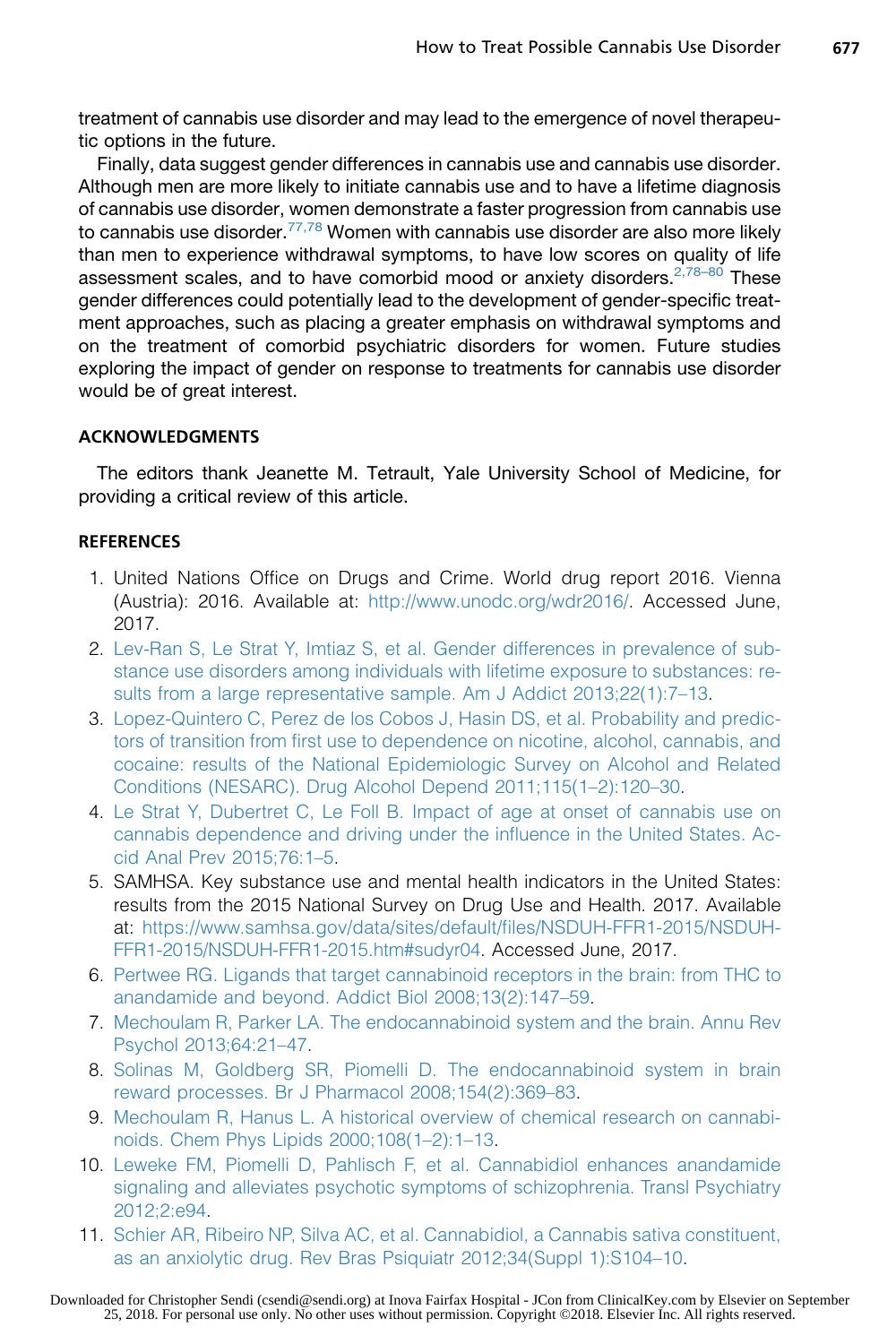<span id="page-10-0"></span>treatment of cannabis use disorder and may lead to the emergence of novel therapeutic options in the future.

Finally, data suggest gender differences in cannabis use and cannabis use disorder. Although men are more likely to initiate cannabis use and to have a lifetime diagnosis of cannabis use disorder, women demonstrate a faster progression from cannabis use to cannabis use disorder.<sup>[77,78](#page-14-0)</sup> Women with cannabis use disorder are also more likely than men to experience withdrawal symptoms, to have low scores on quality of life assessment scales, and to have comorbid mood or anxiety disorders.<sup>2,78–80</sup> These gender differences could potentially lead to the development of gender-specific treatment approaches, such as placing a greater emphasis on withdrawal symptoms and on the treatment of comorbid psychiatric disorders for women. Future studies exploring the impact of gender on response to treatments for cannabis use disorder would be of great interest.

# ACKNOWLEDGMENTS

The editors thank Jeanette M. Tetrault, Yale University School of Medicine, for providing a critical review of this article.

# **REFERENCES**

- 1. United Nations Office on Drugs and Crime. World drug report 2016. Vienna (Austria): 2016. Available at: <http://www.unodc.org/wdr2016/>. Accessed June, 2017.
- 2. [Lev-Ran S, Le Strat Y, Imtiaz S, et al. Gender differences in prevalence of sub](http://refhub.elsevier.com/S0025-7125(18)30013-0/sref2)[stance use disorders among individuals with lifetime exposure to substances: re](http://refhub.elsevier.com/S0025-7125(18)30013-0/sref2)[sults from a large representative sample. Am J Addict 2013;22\(1\):7–13](http://refhub.elsevier.com/S0025-7125(18)30013-0/sref2).
- 3. [Lopez-Quintero C, Perez de los Cobos J, Hasin DS, et al. Probability and predic](http://refhub.elsevier.com/S0025-7125(18)30013-0/sref3)[tors of transition from first use to dependence on nicotine, alcohol, cannabis, and](http://refhub.elsevier.com/S0025-7125(18)30013-0/sref3) [cocaine: results of the National Epidemiologic Survey on Alcohol and Related](http://refhub.elsevier.com/S0025-7125(18)30013-0/sref3) [Conditions \(NESARC\). Drug Alcohol Depend 2011;115\(1–2\):120–30.](http://refhub.elsevier.com/S0025-7125(18)30013-0/sref3)
- 4. [Le Strat Y, Dubertret C, Le Foll B. Impact of age at onset of cannabis use on](http://refhub.elsevier.com/S0025-7125(18)30013-0/sref4) [cannabis dependence and driving under the influence in the United States. Ac](http://refhub.elsevier.com/S0025-7125(18)30013-0/sref4)[cid Anal Prev 2015;76:1–5.](http://refhub.elsevier.com/S0025-7125(18)30013-0/sref4)
- 5. SAMHSA. Key substance use and mental health indicators in the United States: results from the 2015 National Survey on Drug Use and Health. 2017. Available at: [https://www.samhsa.gov/data/sites/default/files/NSDUH-FFR1-2015/NSDUH-](https://www.samhsa.gov/data/sites/default/files/NSDUH-FFR1-2015/NSDUH-FFR1-2015/NSDUH-FFR1-2015.htm#sudyr04)[FFR1-2015/NSDUH-FFR1-2015.htm#sudyr04.](https://www.samhsa.gov/data/sites/default/files/NSDUH-FFR1-2015/NSDUH-FFR1-2015/NSDUH-FFR1-2015.htm#sudyr04) Accessed June, 2017.
- 6. [Pertwee RG. Ligands that target cannabinoid receptors in the brain: from THC to](http://refhub.elsevier.com/S0025-7125(18)30013-0/sref6) [anandamide and beyond. Addict Biol 2008;13\(2\):147–59](http://refhub.elsevier.com/S0025-7125(18)30013-0/sref6).
- 7. [Mechoulam R, Parker LA. The endocannabinoid system and the brain. Annu Rev](http://refhub.elsevier.com/S0025-7125(18)30013-0/sref7) [Psychol 2013;64:21–47](http://refhub.elsevier.com/S0025-7125(18)30013-0/sref7).
- 8. [Solinas M, Goldberg SR, Piomelli D. The endocannabinoid system in brain](http://refhub.elsevier.com/S0025-7125(18)30013-0/sref8) [reward processes. Br J Pharmacol 2008;154\(2\):369–83.](http://refhub.elsevier.com/S0025-7125(18)30013-0/sref8)
- 9. [Mechoulam R, Hanus L. A historical overview of chemical research on cannabi](http://refhub.elsevier.com/S0025-7125(18)30013-0/sref9)[noids. Chem Phys Lipids 2000;108\(1–2\):1–13](http://refhub.elsevier.com/S0025-7125(18)30013-0/sref9).
- 10. [Leweke FM, Piomelli D, Pahlisch F, et al. Cannabidiol enhances anandamide](http://refhub.elsevier.com/S0025-7125(18)30013-0/sref10) [signaling and alleviates psychotic symptoms of schizophrenia. Transl Psychiatry](http://refhub.elsevier.com/S0025-7125(18)30013-0/sref10) [2012;2:e94](http://refhub.elsevier.com/S0025-7125(18)30013-0/sref10).
- 11. [Schier AR, Ribeiro NP, Silva AC, et al. Cannabidiol, a Cannabis sativa constituent,](http://refhub.elsevier.com/S0025-7125(18)30013-0/sref11) [as an anxiolytic drug. Rev Bras Psiquiatr 2012;34\(Suppl 1\):S104–10](http://refhub.elsevier.com/S0025-7125(18)30013-0/sref11).

Downloaded for Christopher Sendi (csendi@sendi.org) at Inova Fairfax Hospital - JCon from ClinicalKey.com by Elsevier on September<br>25, 2018. For personal use only. No other uses without permission. Copyright ©2018. Elsevie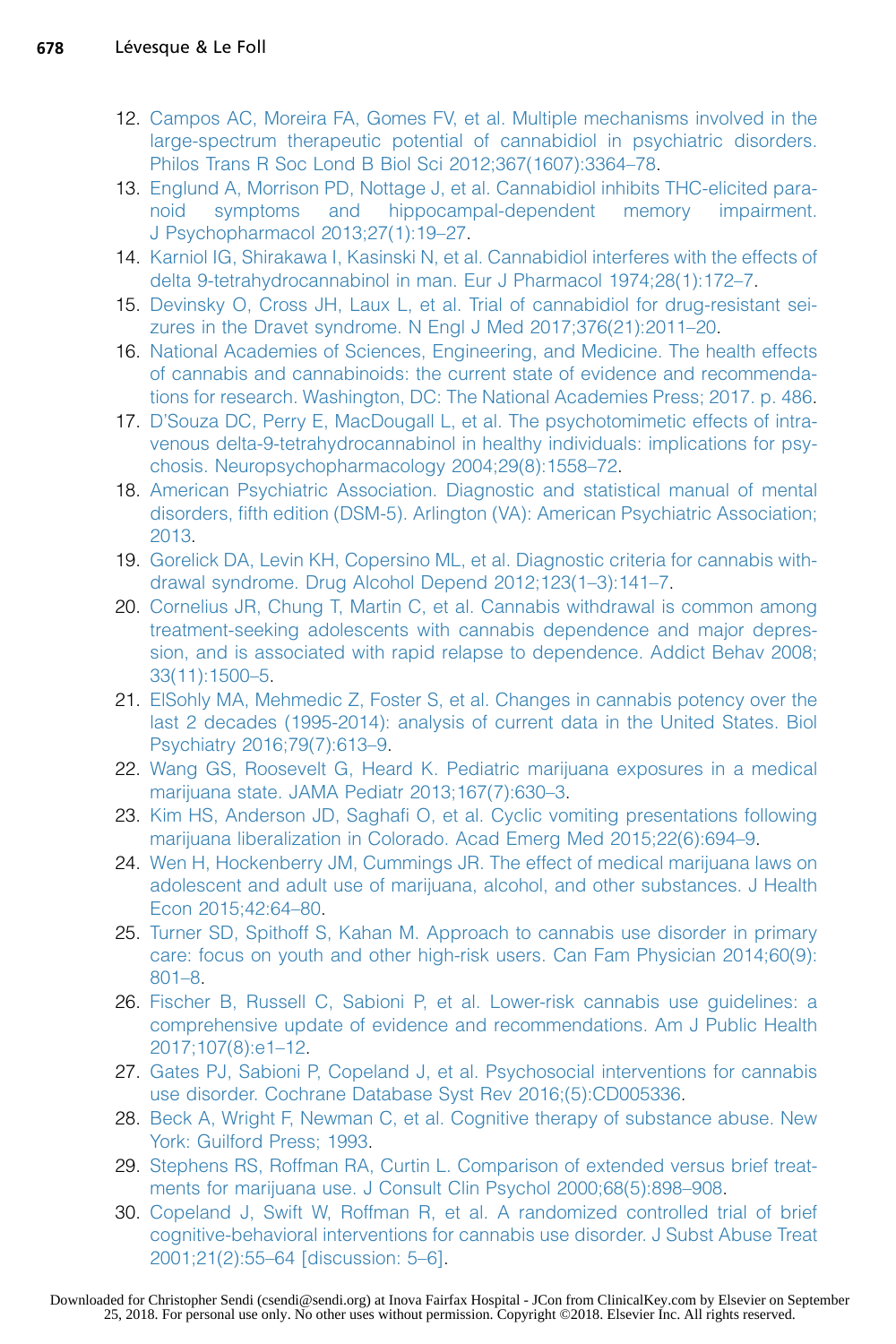- <span id="page-11-0"></span>12. [Campos AC, Moreira FA, Gomes FV, et al. Multiple mechanisms involved in the](http://refhub.elsevier.com/S0025-7125(18)30013-0/sref12) [large-spectrum therapeutic potential of cannabidiol in psychiatric disorders.](http://refhub.elsevier.com/S0025-7125(18)30013-0/sref12) [Philos Trans R Soc Lond B Biol Sci 2012;367\(1607\):3364–78](http://refhub.elsevier.com/S0025-7125(18)30013-0/sref12).
- 13. [Englund A, Morrison PD, Nottage J, et al. Cannabidiol inhibits THC-elicited para](http://refhub.elsevier.com/S0025-7125(18)30013-0/sref13)[noid symptoms and hippocampal-dependent memory impairment.](http://refhub.elsevier.com/S0025-7125(18)30013-0/sref13) [J Psychopharmacol 2013;27\(1\):19–27.](http://refhub.elsevier.com/S0025-7125(18)30013-0/sref13)
- 14. [Karniol IG, Shirakawa I, Kasinski N, et al. Cannabidiol interferes with the effects of](http://refhub.elsevier.com/S0025-7125(18)30013-0/sref14) [delta 9-tetrahydrocannabinol in man. Eur J Pharmacol 1974;28\(1\):172–7](http://refhub.elsevier.com/S0025-7125(18)30013-0/sref14).
- 15. [Devinsky O, Cross JH, Laux L, et al. Trial of cannabidiol for drug-resistant sei](http://refhub.elsevier.com/S0025-7125(18)30013-0/sref15)[zures in the Dravet syndrome. N Engl J Med 2017;376\(21\):2011–20](http://refhub.elsevier.com/S0025-7125(18)30013-0/sref15).
- 16. [National Academies of Sciences, Engineering, and Medicine. The health effects](http://refhub.elsevier.com/S0025-7125(18)30013-0/sref16) [of cannabis and cannabinoids: the current state of evidence and recommenda](http://refhub.elsevier.com/S0025-7125(18)30013-0/sref16)[tions for research. Washington, DC: The National Academies Press; 2017. p. 486.](http://refhub.elsevier.com/S0025-7125(18)30013-0/sref16)
- 17. [D'Souza DC, Perry E, MacDougall L, et al. The psychotomimetic effects of intra](http://refhub.elsevier.com/S0025-7125(18)30013-0/sref17)[venous delta-9-tetrahydrocannabinol in healthy individuals: implications for psy](http://refhub.elsevier.com/S0025-7125(18)30013-0/sref17)[chosis. Neuropsychopharmacology 2004;29\(8\):1558–72.](http://refhub.elsevier.com/S0025-7125(18)30013-0/sref17)
- 18. [American Psychiatric Association. Diagnostic and statistical manual of mental](http://refhub.elsevier.com/S0025-7125(18)30013-0/sref18) [disorders, fifth edition \(DSM-5\). Arlington \(VA\): American Psychiatric Association;](http://refhub.elsevier.com/S0025-7125(18)30013-0/sref18) [2013](http://refhub.elsevier.com/S0025-7125(18)30013-0/sref18).
- 19. [Gorelick DA, Levin KH, Copersino ML, et al. Diagnostic criteria for cannabis with](http://refhub.elsevier.com/S0025-7125(18)30013-0/sref19)[drawal syndrome. Drug Alcohol Depend 2012;123\(1–3\):141–7.](http://refhub.elsevier.com/S0025-7125(18)30013-0/sref19)
- 20. [Cornelius JR, Chung T, Martin C, et al. Cannabis withdrawal is common among](http://refhub.elsevier.com/S0025-7125(18)30013-0/sref20) [treatment-seeking adolescents with cannabis dependence and major depres](http://refhub.elsevier.com/S0025-7125(18)30013-0/sref20)[sion, and is associated with rapid relapse to dependence. Addict Behav 2008;](http://refhub.elsevier.com/S0025-7125(18)30013-0/sref20) [33\(11\):1500–5.](http://refhub.elsevier.com/S0025-7125(18)30013-0/sref20)
- 21. [ElSohly MA, Mehmedic Z, Foster S, et al. Changes in cannabis potency over the](http://refhub.elsevier.com/S0025-7125(18)30013-0/sref21) [last 2 decades \(1995-2014\): analysis of current data in the United States. Biol](http://refhub.elsevier.com/S0025-7125(18)30013-0/sref21) [Psychiatry 2016;79\(7\):613–9.](http://refhub.elsevier.com/S0025-7125(18)30013-0/sref21)
- 22. [Wang GS, Roosevelt G, Heard K. Pediatric marijuana exposures in a medical](http://refhub.elsevier.com/S0025-7125(18)30013-0/sref22) [marijuana state. JAMA Pediatr 2013;167\(7\):630–3.](http://refhub.elsevier.com/S0025-7125(18)30013-0/sref22)
- 23. [Kim HS, Anderson JD, Saghafi O, et al. Cyclic vomiting presentations following](http://refhub.elsevier.com/S0025-7125(18)30013-0/sref23) [marijuana liberalization in Colorado. Acad Emerg Med 2015;22\(6\):694–9](http://refhub.elsevier.com/S0025-7125(18)30013-0/sref23).
- 24. [Wen H, Hockenberry JM, Cummings JR. The effect of medical marijuana laws on](http://refhub.elsevier.com/S0025-7125(18)30013-0/sref24) [adolescent and adult use of marijuana, alcohol, and other substances. J Health](http://refhub.elsevier.com/S0025-7125(18)30013-0/sref24) [Econ 2015;42:64–80.](http://refhub.elsevier.com/S0025-7125(18)30013-0/sref24)
- 25. [Turner SD, Spithoff S, Kahan M. Approach to cannabis use disorder in primary](http://refhub.elsevier.com/S0025-7125(18)30013-0/sref25) [care: focus on youth and other high-risk users. Can Fam Physician 2014;60\(9\):](http://refhub.elsevier.com/S0025-7125(18)30013-0/sref25) [801–8.](http://refhub.elsevier.com/S0025-7125(18)30013-0/sref25)
- 26. [Fischer B, Russell C, Sabioni P, et al. Lower-risk cannabis use guidelines: a](http://refhub.elsevier.com/S0025-7125(18)30013-0/sref26) [comprehensive update of evidence and recommendations. Am J Public Health](http://refhub.elsevier.com/S0025-7125(18)30013-0/sref26) [2017;107\(8\):e1–12](http://refhub.elsevier.com/S0025-7125(18)30013-0/sref26).
- 27. [Gates PJ, Sabioni P, Copeland J, et al. Psychosocial interventions for cannabis](http://refhub.elsevier.com/S0025-7125(18)30013-0/sref27) [use disorder. Cochrane Database Syst Rev 2016;\(5\):CD005336](http://refhub.elsevier.com/S0025-7125(18)30013-0/sref27).
- 28. [Beck A, Wright F, Newman C, et al. Cognitive therapy of substance abuse. New](http://refhub.elsevier.com/S0025-7125(18)30013-0/sref28) [York: Guilford Press; 1993](http://refhub.elsevier.com/S0025-7125(18)30013-0/sref28).
- 29. [Stephens RS, Roffman RA, Curtin L. Comparison of extended versus brief treat](http://refhub.elsevier.com/S0025-7125(18)30013-0/sref29)[ments for marijuana use. J Consult Clin Psychol 2000;68\(5\):898–908](http://refhub.elsevier.com/S0025-7125(18)30013-0/sref29).
- 30. [Copeland J, Swift W, Roffman R, et al. A randomized controlled trial of brief](http://refhub.elsevier.com/S0025-7125(18)30013-0/sref30) [cognitive-behavioral interventions for cannabis use disorder. J Subst Abuse Treat](http://refhub.elsevier.com/S0025-7125(18)30013-0/sref30) [2001;21\(2\):55–64 \[discussion: 5–6\].](http://refhub.elsevier.com/S0025-7125(18)30013-0/sref30)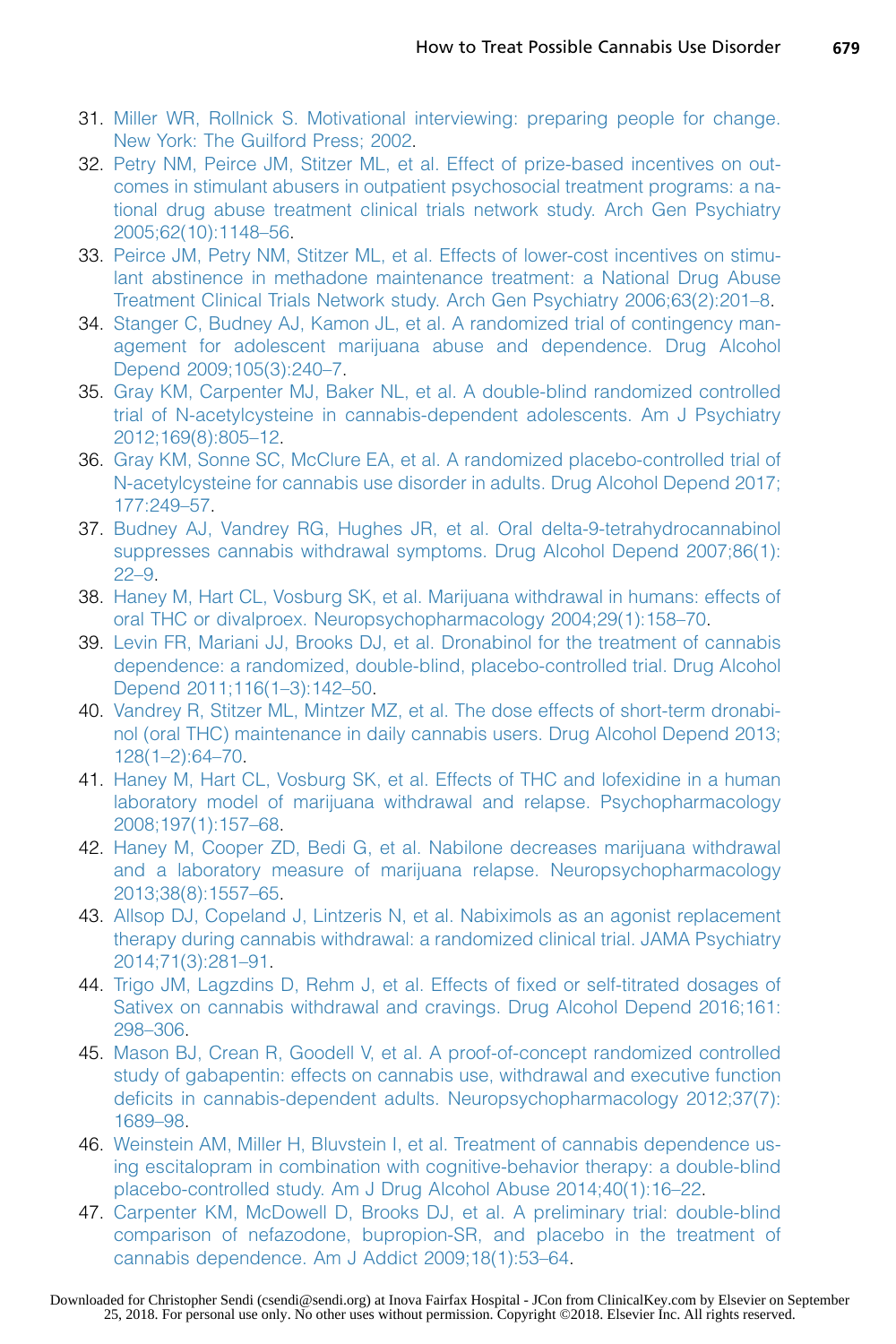- <span id="page-12-0"></span>31. [Miller WR, Rollnick S. Motivational interviewing: preparing people for change.](http://refhub.elsevier.com/S0025-7125(18)30013-0/sref31) [New York: The Guilford Press; 2002](http://refhub.elsevier.com/S0025-7125(18)30013-0/sref31).
- 32. [Petry NM, Peirce JM, Stitzer ML, et al. Effect of prize-based incentives on out](http://refhub.elsevier.com/S0025-7125(18)30013-0/sref32)[comes in stimulant abusers in outpatient psychosocial treatment programs: a na](http://refhub.elsevier.com/S0025-7125(18)30013-0/sref32)[tional drug abuse treatment clinical trials network study. Arch Gen Psychiatry](http://refhub.elsevier.com/S0025-7125(18)30013-0/sref32) [2005;62\(10\):1148–56.](http://refhub.elsevier.com/S0025-7125(18)30013-0/sref32)
- 33. [Peirce JM, Petry NM, Stitzer ML, et al. Effects of lower-cost incentives on stimu](http://refhub.elsevier.com/S0025-7125(18)30013-0/sref33)[lant abstinence in methadone maintenance treatment: a National Drug Abuse](http://refhub.elsevier.com/S0025-7125(18)30013-0/sref33) [Treatment Clinical Trials Network study. Arch Gen Psychiatry 2006;63\(2\):201–8](http://refhub.elsevier.com/S0025-7125(18)30013-0/sref33).
- 34. [Stanger C, Budney AJ, Kamon JL, et al. A randomized trial of contingency man](http://refhub.elsevier.com/S0025-7125(18)30013-0/sref34)[agement for adolescent marijuana abuse and dependence. Drug Alcohol](http://refhub.elsevier.com/S0025-7125(18)30013-0/sref34) [Depend 2009;105\(3\):240–7.](http://refhub.elsevier.com/S0025-7125(18)30013-0/sref34)
- 35. [Gray KM, Carpenter MJ, Baker NL, et al. A double-blind randomized controlled](http://refhub.elsevier.com/S0025-7125(18)30013-0/sref35) [trial of N-acetylcysteine in cannabis-dependent adolescents. Am J Psychiatry](http://refhub.elsevier.com/S0025-7125(18)30013-0/sref35) [2012;169\(8\):805–12.](http://refhub.elsevier.com/S0025-7125(18)30013-0/sref35)
- 36. [Gray KM, Sonne SC, McClure EA, et al. A randomized placebo-controlled trial of](http://refhub.elsevier.com/S0025-7125(18)30013-0/sref36) [N-acetylcysteine for cannabis use disorder in adults. Drug Alcohol Depend 2017;](http://refhub.elsevier.com/S0025-7125(18)30013-0/sref36) [177:249–57](http://refhub.elsevier.com/S0025-7125(18)30013-0/sref36).
- 37. [Budney AJ, Vandrey RG, Hughes JR, et al. Oral delta-9-tetrahydrocannabinol](http://refhub.elsevier.com/S0025-7125(18)30013-0/sref37) [suppresses cannabis withdrawal symptoms. Drug Alcohol Depend 2007;86\(1\):](http://refhub.elsevier.com/S0025-7125(18)30013-0/sref37) [22–9](http://refhub.elsevier.com/S0025-7125(18)30013-0/sref37).
- 38. [Haney M, Hart CL, Vosburg SK, et al. Marijuana withdrawal in humans: effects of](http://refhub.elsevier.com/S0025-7125(18)30013-0/sref38) [oral THC or divalproex. Neuropsychopharmacology 2004;29\(1\):158–70](http://refhub.elsevier.com/S0025-7125(18)30013-0/sref38).
- 39. [Levin FR, Mariani JJ, Brooks DJ, et al. Dronabinol for the treatment of cannabis](http://refhub.elsevier.com/S0025-7125(18)30013-0/sref39) [dependence: a randomized, double-blind, placebo-controlled trial. Drug Alcohol](http://refhub.elsevier.com/S0025-7125(18)30013-0/sref39) [Depend 2011;116\(1–3\):142–50](http://refhub.elsevier.com/S0025-7125(18)30013-0/sref39).
- 40. [Vandrey R, Stitzer ML, Mintzer MZ, et al. The dose effects of short-term dronabi](http://refhub.elsevier.com/S0025-7125(18)30013-0/sref40)[nol \(oral THC\) maintenance in daily cannabis users. Drug Alcohol Depend 2013;](http://refhub.elsevier.com/S0025-7125(18)30013-0/sref40) [128\(1–2\):64–70.](http://refhub.elsevier.com/S0025-7125(18)30013-0/sref40)
- 41. [Haney M, Hart CL, Vosburg SK, et al. Effects of THC and lofexidine in a human](http://refhub.elsevier.com/S0025-7125(18)30013-0/sref41) [laboratory model of marijuana withdrawal and relapse. Psychopharmacology](http://refhub.elsevier.com/S0025-7125(18)30013-0/sref41) [2008;197\(1\):157–68.](http://refhub.elsevier.com/S0025-7125(18)30013-0/sref41)
- 42. [Haney M, Cooper ZD, Bedi G, et al. Nabilone decreases marijuana withdrawal](http://refhub.elsevier.com/S0025-7125(18)30013-0/sref42) [and a laboratory measure of marijuana relapse. Neuropsychopharmacology](http://refhub.elsevier.com/S0025-7125(18)30013-0/sref42) [2013;38\(8\):1557–65.](http://refhub.elsevier.com/S0025-7125(18)30013-0/sref42)
- 43. [Allsop DJ, Copeland J, Lintzeris N, et al. Nabiximols as an agonist replacement](http://refhub.elsevier.com/S0025-7125(18)30013-0/sref43) [therapy during cannabis withdrawal: a randomized clinical trial. JAMA Psychiatry](http://refhub.elsevier.com/S0025-7125(18)30013-0/sref43) [2014;71\(3\):281–91.](http://refhub.elsevier.com/S0025-7125(18)30013-0/sref43)
- 44. [Trigo JM, Lagzdins D, Rehm J, et al. Effects of fixed or self-titrated dosages of](http://refhub.elsevier.com/S0025-7125(18)30013-0/sref44) [Sativex on cannabis withdrawal and cravings. Drug Alcohol Depend 2016;161:](http://refhub.elsevier.com/S0025-7125(18)30013-0/sref44) [298–306.](http://refhub.elsevier.com/S0025-7125(18)30013-0/sref44)
- 45. [Mason BJ, Crean R, Goodell V, et al. A proof-of-concept randomized controlled](http://refhub.elsevier.com/S0025-7125(18)30013-0/sref45) [study of gabapentin: effects on cannabis use, withdrawal and executive function](http://refhub.elsevier.com/S0025-7125(18)30013-0/sref45) [deficits in cannabis-dependent adults. Neuropsychopharmacology 2012;37\(7\):](http://refhub.elsevier.com/S0025-7125(18)30013-0/sref45) [1689–98.](http://refhub.elsevier.com/S0025-7125(18)30013-0/sref45)
- 46. [Weinstein AM, Miller H, Bluvstein I, et al. Treatment of cannabis dependence us](http://refhub.elsevier.com/S0025-7125(18)30013-0/sref46)[ing escitalopram in combination with cognitive-behavior therapy: a double-blind](http://refhub.elsevier.com/S0025-7125(18)30013-0/sref46) [placebo-controlled study. Am J Drug Alcohol Abuse 2014;40\(1\):16–22](http://refhub.elsevier.com/S0025-7125(18)30013-0/sref46).
- 47. [Carpenter KM, McDowell D, Brooks DJ, et al. A preliminary trial: double-blind](http://refhub.elsevier.com/S0025-7125(18)30013-0/sref47) [comparison of nefazodone, bupropion-SR, and placebo in the treatment of](http://refhub.elsevier.com/S0025-7125(18)30013-0/sref47) [cannabis dependence. Am J Addict 2009;18\(1\):53–64](http://refhub.elsevier.com/S0025-7125(18)30013-0/sref47).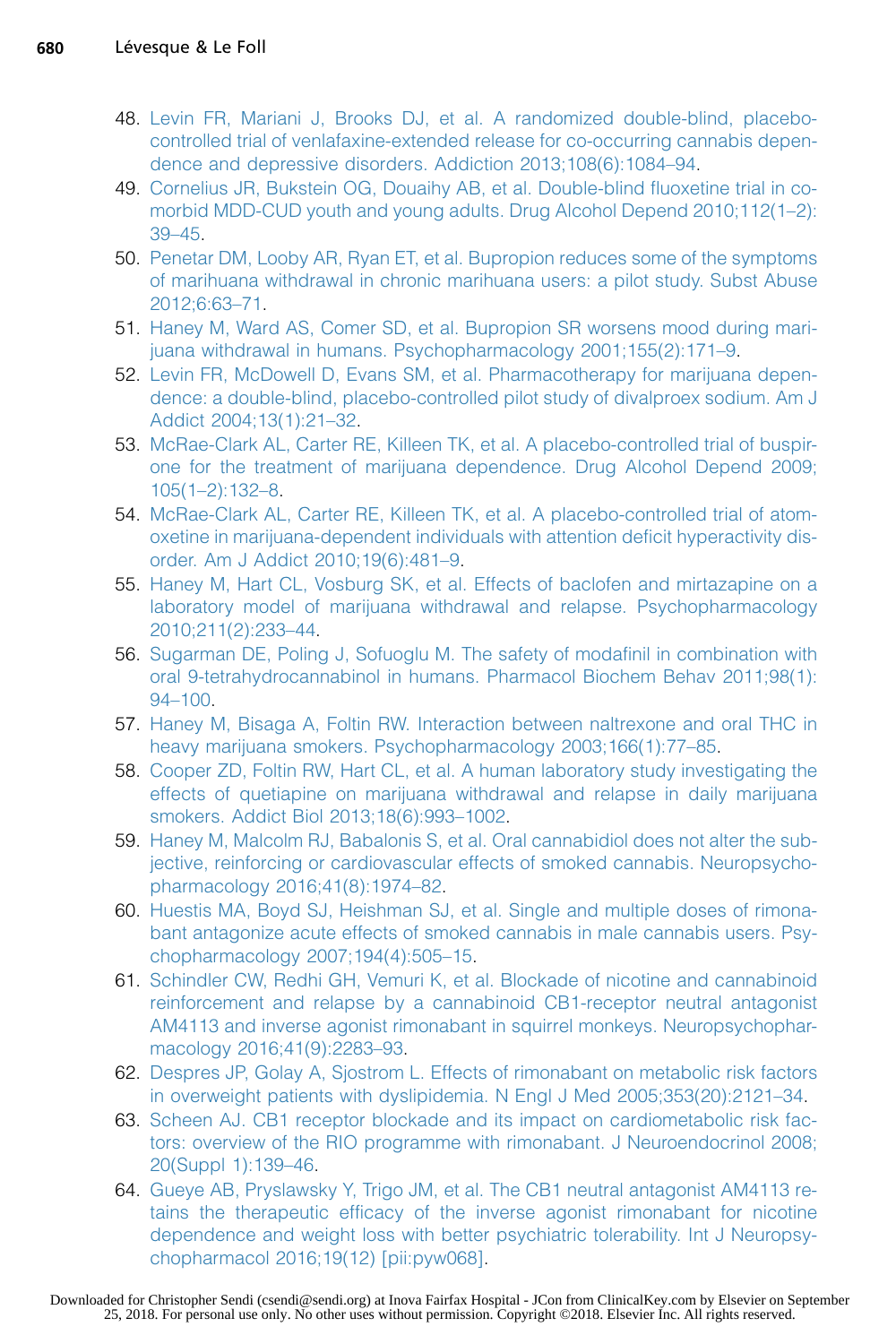- <span id="page-13-0"></span>48. [Levin FR, Mariani J, Brooks DJ, et al. A randomized double-blind, placebo](http://refhub.elsevier.com/S0025-7125(18)30013-0/sref48)[controlled trial of venlafaxine-extended release for co-occurring cannabis depen](http://refhub.elsevier.com/S0025-7125(18)30013-0/sref48)[dence and depressive disorders. Addiction 2013;108\(6\):1084–94.](http://refhub.elsevier.com/S0025-7125(18)30013-0/sref48)
- 49. [Cornelius JR, Bukstein OG, Douaihy AB, et al. Double-blind fluoxetine trial in co](http://refhub.elsevier.com/S0025-7125(18)30013-0/sref49)[morbid MDD-CUD youth and young adults. Drug Alcohol Depend 2010;112\(1–2\):](http://refhub.elsevier.com/S0025-7125(18)30013-0/sref49) [39–45.](http://refhub.elsevier.com/S0025-7125(18)30013-0/sref49)
- 50. [Penetar DM, Looby AR, Ryan ET, et al. Bupropion reduces some of the symptoms](http://refhub.elsevier.com/S0025-7125(18)30013-0/sref50) [of marihuana withdrawal in chronic marihuana users: a pilot study. Subst Abuse](http://refhub.elsevier.com/S0025-7125(18)30013-0/sref50) [2012;6:63–71](http://refhub.elsevier.com/S0025-7125(18)30013-0/sref50).
- 51. [Haney M, Ward AS, Comer SD, et al. Bupropion SR worsens mood during mari](http://refhub.elsevier.com/S0025-7125(18)30013-0/sref51)[juana withdrawal in humans. Psychopharmacology 2001;155\(2\):171–9.](http://refhub.elsevier.com/S0025-7125(18)30013-0/sref51)
- 52. [Levin FR, McDowell D, Evans SM, et al. Pharmacotherapy for marijuana depen](http://refhub.elsevier.com/S0025-7125(18)30013-0/sref52)[dence: a double-blind, placebo-controlled pilot study of divalproex sodium. Am J](http://refhub.elsevier.com/S0025-7125(18)30013-0/sref52) [Addict 2004;13\(1\):21–32.](http://refhub.elsevier.com/S0025-7125(18)30013-0/sref52)
- 53. [McRae-Clark AL, Carter RE, Killeen TK, et al. A placebo-controlled trial of buspir](http://refhub.elsevier.com/S0025-7125(18)30013-0/sref53)[one for the treatment of marijuana dependence. Drug Alcohol Depend 2009;](http://refhub.elsevier.com/S0025-7125(18)30013-0/sref53) [105\(1–2\):132–8](http://refhub.elsevier.com/S0025-7125(18)30013-0/sref53).
- 54. [McRae-Clark AL, Carter RE, Killeen TK, et al. A placebo-controlled trial of atom](http://refhub.elsevier.com/S0025-7125(18)30013-0/sref54)[oxetine in marijuana-dependent individuals with attention deficit hyperactivity dis](http://refhub.elsevier.com/S0025-7125(18)30013-0/sref54)[order. Am J Addict 2010;19\(6\):481–9.](http://refhub.elsevier.com/S0025-7125(18)30013-0/sref54)
- 55. [Haney M, Hart CL, Vosburg SK, et al. Effects of baclofen and mirtazapine on a](http://refhub.elsevier.com/S0025-7125(18)30013-0/sref55) [laboratory model of marijuana withdrawal and relapse. Psychopharmacology](http://refhub.elsevier.com/S0025-7125(18)30013-0/sref55) [2010;211\(2\):233–44](http://refhub.elsevier.com/S0025-7125(18)30013-0/sref55).
- 56. [Sugarman DE, Poling J, Sofuoglu M. The safety of modafinil in combination with](http://refhub.elsevier.com/S0025-7125(18)30013-0/sref56) [oral 9-tetrahydrocannabinol in humans. Pharmacol Biochem Behav 2011;98\(1\):](http://refhub.elsevier.com/S0025-7125(18)30013-0/sref56) [94–100.](http://refhub.elsevier.com/S0025-7125(18)30013-0/sref56)
- 57. [Haney M, Bisaga A, Foltin RW. Interaction between naltrexone and oral THC in](http://refhub.elsevier.com/S0025-7125(18)30013-0/sref57) [heavy marijuana smokers. Psychopharmacology 2003;166\(1\):77–85](http://refhub.elsevier.com/S0025-7125(18)30013-0/sref57).
- 58. [Cooper ZD, Foltin RW, Hart CL, et al. A human laboratory study investigating the](http://refhub.elsevier.com/S0025-7125(18)30013-0/sref58) [effects of quetiapine on marijuana withdrawal and relapse in daily marijuana](http://refhub.elsevier.com/S0025-7125(18)30013-0/sref58) [smokers. Addict Biol 2013;18\(6\):993–1002.](http://refhub.elsevier.com/S0025-7125(18)30013-0/sref58)
- 59. [Haney M, Malcolm RJ, Babalonis S, et al. Oral cannabidiol does not alter the sub](http://refhub.elsevier.com/S0025-7125(18)30013-0/sref59)[jective, reinforcing or cardiovascular effects of smoked cannabis. Neuropsycho](http://refhub.elsevier.com/S0025-7125(18)30013-0/sref59)[pharmacology 2016;41\(8\):1974–82.](http://refhub.elsevier.com/S0025-7125(18)30013-0/sref59)
- 60. [Huestis MA, Boyd SJ, Heishman SJ, et al. Single and multiple doses of rimona](http://refhub.elsevier.com/S0025-7125(18)30013-0/sref60)[bant antagonize acute effects of smoked cannabis in male cannabis users. Psy](http://refhub.elsevier.com/S0025-7125(18)30013-0/sref60)[chopharmacology 2007;194\(4\):505–15.](http://refhub.elsevier.com/S0025-7125(18)30013-0/sref60)
- 61. [Schindler CW, Redhi GH, Vemuri K, et al. Blockade of nicotine and cannabinoid](http://refhub.elsevier.com/S0025-7125(18)30013-0/sref61) [reinforcement and relapse by a cannabinoid CB1-receptor neutral antagonist](http://refhub.elsevier.com/S0025-7125(18)30013-0/sref61) [AM4113 and inverse agonist rimonabant in squirrel monkeys. Neuropsychophar](http://refhub.elsevier.com/S0025-7125(18)30013-0/sref61)[macology 2016;41\(9\):2283–93](http://refhub.elsevier.com/S0025-7125(18)30013-0/sref61).
- 62. [Despres JP, Golay A, Sjostrom L. Effects of rimonabant on metabolic risk factors](http://refhub.elsevier.com/S0025-7125(18)30013-0/sref62) [in overweight patients with dyslipidemia. N Engl J Med 2005;353\(20\):2121–34](http://refhub.elsevier.com/S0025-7125(18)30013-0/sref62).
- 63. [Scheen AJ. CB1 receptor blockade and its impact on cardiometabolic risk fac](http://refhub.elsevier.com/S0025-7125(18)30013-0/sref63)[tors: overview of the RIO programme with rimonabant. J Neuroendocrinol 2008;](http://refhub.elsevier.com/S0025-7125(18)30013-0/sref63) [20\(Suppl 1\):139–46](http://refhub.elsevier.com/S0025-7125(18)30013-0/sref63).
- 64. [Gueye AB, Pryslawsky Y, Trigo JM, et al. The CB1 neutral antagonist AM4113 re](http://refhub.elsevier.com/S0025-7125(18)30013-0/sref64)[tains the therapeutic efficacy of the inverse agonist rimonabant for nicotine](http://refhub.elsevier.com/S0025-7125(18)30013-0/sref64) [dependence and weight loss with better psychiatric tolerability. Int J Neuropsy](http://refhub.elsevier.com/S0025-7125(18)30013-0/sref64)[chopharmacol 2016;19\(12\) \[pii:pyw068\]](http://refhub.elsevier.com/S0025-7125(18)30013-0/sref64).